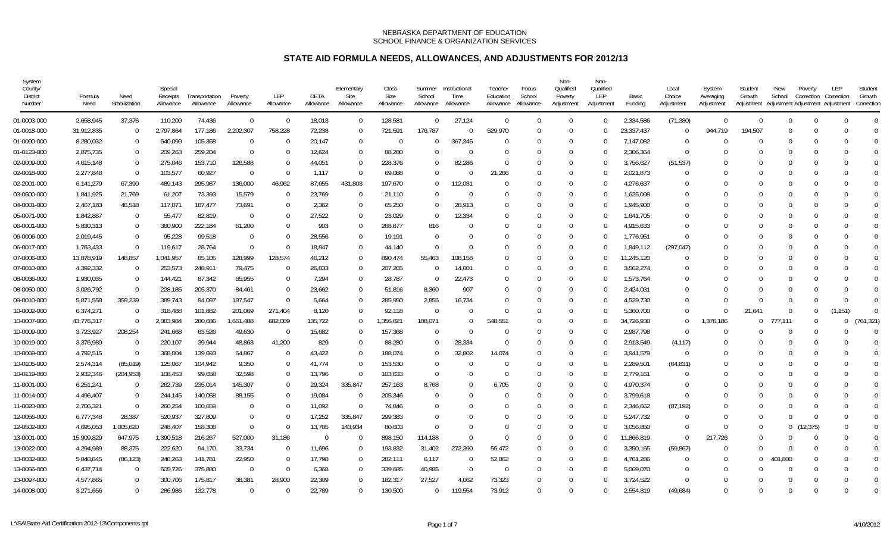| System<br>County/<br><b>District</b><br>Number | Formula<br>Need | Need<br>Stabilization | Special<br>Receipts<br>Allowance | Transportation<br>Allowance | Poverty<br>Allowance | LEP<br>Allowance | DETA<br>Allowance | Elementary<br>Site<br>Allowance | Class<br>Size<br>Allowance | Summer<br>School<br>Allowance | Instructional<br>Time<br>Allowance | Teacher<br>Education<br>Allowance | Focus<br>School<br>Allowance | Non-<br>Qualified<br>Poverty<br>Adjustment | Non-<br>Qualified<br>LEP<br>Adjustment | Basic<br>Funding | Local<br>Choice<br>Adjustment | System<br>Averaging<br>Adjustment | Student<br>Growth<br>Adjustment | New<br>School  | Poverty<br>Correction<br>Adjustment Adjustment Adjustment | LEP<br>Correction | Student<br>Growth<br>Correction |  |
|------------------------------------------------|-----------------|-----------------------|----------------------------------|-----------------------------|----------------------|------------------|-------------------|---------------------------------|----------------------------|-------------------------------|------------------------------------|-----------------------------------|------------------------------|--------------------------------------------|----------------------------------------|------------------|-------------------------------|-----------------------------------|---------------------------------|----------------|-----------------------------------------------------------|-------------------|---------------------------------|--|
| 01-0003-000                                    | 2,658,945       | 37,376                | 110,209                          | 74,436                      | $\Omega$             | $\Omega$         | 18,013            | $\Omega$                        | 128,581                    | $\Omega$                      | 27,124                             | $\Omega$                          | $\Omega$                     |                                            | $\Omega$                               | 2,334,586        | (71, 380)                     | $\Omega$                          | $\Omega$                        | $\Omega$       | $\Omega$                                                  | $\Omega$          | $\Omega$                        |  |
| 01-0018-000                                    | 31,912,835      | $\Omega$              | 2,797,864                        | 177,186                     | 2,202,307            | 758,228          | 72,238            | $\Omega$                        | 721,591                    | 176,787                       | $\Omega$                           | 529.970                           |                              |                                            | $\bigcap$                              | 23,337,437       | $\Omega$                      | 944,719                           | 194.507                         | $\Omega$       |                                                           |                   | $\Omega$                        |  |
| 01-0090-000                                    | 8,280,032       | - 0                   | 640,099                          | 105,358                     | $\Omega$             | $\Omega$         | 20,147            | $\Omega$                        | $\overline{0}$             |                               | 367,345                            | $\Omega$                          |                              |                                            | -0                                     | 7,147,082        | ſ                             |                                   |                                 |                |                                                           |                   | $\Omega$                        |  |
| 01-0123-000                                    | 2,875,735       | $\Omega$              | 209,263                          | 259,204                     | $\Omega$             | $\Omega$         | 12,624            | $\cup$                          | 88,280                     |                               | $\Omega$                           |                                   |                              |                                            |                                        | 2,306,364        | $\Omega$                      |                                   |                                 | $\Omega$       |                                                           |                   | $\Omega$                        |  |
| 02-0009-000                                    | 4,615,148       | - 0                   | 275,046                          | 153,710                     | 126,588              | $\Omega$         | 44,051            | $\Omega$                        | 228,376                    | $\Omega$                      | 82,286                             | $\Omega$                          |                              |                                            | $\bigcap$                              | 3,756,627        | (51, 537)                     |                                   |                                 | $\Omega$       |                                                           |                   | $\Omega$                        |  |
| 02-0018-000                                    | 2,277,848       | - 0                   | 103,577                          | 60,927                      | - 0                  | $\Omega$         | 1,117             | $\bigcap$                       | 69,088                     |                               | $\Omega$                           | 21,266                            |                              |                                            |                                        | 2,021,873        | ſ                             |                                   |                                 |                |                                                           |                   | $\Omega$                        |  |
| 02-2001-000                                    | 6,141,279       | 67,390                | 489,143                          | 295,987                     | 136,000              | 46,962           | 87,655            | 431,803                         | 197,670                    | $\Omega$                      | 112,031                            | $\Omega$                          |                              |                                            | $\Gamma$                               | 4,276,637        | ſ                             |                                   |                                 |                |                                                           |                   | $\Omega$                        |  |
| 03-0500-000                                    | 1,841,925       | 21,769                | 61,207                           | 73,393                      | 15,579               | $\overline{0}$   | 23,769            | $\Omega$                        | 21,110                     | $\Omega$                      | $\Omega$                           | $\Omega$                          |                              |                                            | $\bigcap$                              | 1,625,098        | $\Omega$                      |                                   |                                 | $\Omega$       |                                                           |                   | $\Omega$                        |  |
| 04-0001-000                                    | 2,467,183       | 46,518                | 117,071                          | 187,477                     | 73,691               | $\Omega$         | 2,362             | $\Omega$                        | 65,250                     | $\Omega$                      | 28,913                             | $\Omega$                          |                              |                                            | -0                                     | 1,945,900        | $\Omega$                      |                                   |                                 |                |                                                           |                   | $\mathbf 0$                     |  |
| 05-0071-000                                    | 1,842,887       | - 0                   | 55,477                           | 82,819                      | $\Omega$             | $\Omega$         | 27,522            | $\Omega$                        | 23,029                     | $\Omega$                      | 12,334                             | $\Omega$                          |                              |                                            |                                        | 1.641.705        | $\Omega$                      |                                   |                                 |                |                                                           |                   | $\Omega$                        |  |
| 06-0001-000                                    | 5,830,313       | - 0                   | 360,900                          | 222,184                     | 61,200               | $\Omega$         | 903               | $\Omega$                        | 268,677                    | 816                           | $\Omega$                           |                                   |                              |                                            |                                        | 4,915,633        | C                             |                                   |                                 | $\Omega$       |                                                           |                   | $\Omega$                        |  |
| 06-0006-000                                    | 2,019,445       | - 0                   | 95,228                           | 99,518                      | $\Omega$             | $\Omega$         | 28,556            | 0                               | 19,191                     | $\Omega$                      | $\Omega$                           |                                   |                              |                                            |                                        | 1,776,951        | ſ                             |                                   |                                 |                |                                                           |                   | $\Omega$                        |  |
| 06-0017-000                                    | 1,763,433       | $\Omega$              | 119,617                          | 28,764                      | $\Omega$             | $\Omega$         | 18,847            | $\Omega$                        | 44,140                     | $\Omega$                      | $\Omega$                           |                                   |                              |                                            | -0                                     | 1,849,112        | (297, 047)                    |                                   |                                 |                |                                                           |                   | $\Omega$                        |  |
| 07-0006-000                                    | 13,878,919      | 148,857               | 1,041,957                        | 85,105                      | 128,999              | 128,574          | 46,212            | $\bigcap$                       | 890,474                    | 55,463                        | 108,158                            |                                   |                              |                                            |                                        | 11,245,120       |                               |                                   |                                 |                |                                                           |                   |                                 |  |
| 07-0010-000                                    | 4,392,332       | - 0                   | 253,573                          | 248,911                     | 79,475               | $\Omega$         | 26,833            | $\Omega$                        | 207,265                    | $\Omega$                      | 14,001                             |                                   |                              |                                            |                                        | 3,562,274        | ſ                             |                                   |                                 |                |                                                           |                   | $\Omega$                        |  |
| 08-0036-000                                    | 1,930,035       | $\overline{0}$        | 144,421                          | 87,342                      | 65,955               | $\Omega$         | 7,294             | $\Omega$                        | 28,787                     | $\Omega$                      | 22,473                             | $\Omega$                          |                              |                                            | $\bigcap$                              | 1,573,764        | $\Omega$                      |                                   |                                 |                |                                                           |                   | $\Omega$                        |  |
| 08-0050-000                                    | 3,026,792       | $\overline{0}$        | 228,185                          | 205,370                     | 84,461               | $\Omega$         | 23,662            | $\Omega$                        | 51,816                     | 8,360                         | 907                                |                                   |                              |                                            | $\bigcap$                              | 2,424,031        | $\Omega$                      |                                   |                                 |                |                                                           |                   | $\Omega$                        |  |
| 09-0010-000                                    | 5,871,558       | 359,239               | 389,743                          | 94,097                      | 187,547              | $\Omega$         | 5,664             | $\Omega$                        | 285,950                    | 2,855                         | 16,734                             | $\Omega$                          |                              |                                            | $\Gamma$                               | 4,529,730        | $\Omega$                      |                                   |                                 | $\Omega$       |                                                           | ∩                 | $\Omega$                        |  |
| 10-0002-000                                    | 6,374,271       | $\Omega$              | 318,488                          | 101,882                     | 201,069              | 271,404          | 8,120             | $\Omega$                        | 92,118                     | $\Omega$                      | $\Omega$                           | $\Omega$                          |                              |                                            | $\bigcap$                              | 5,360,700        | $\Omega$                      | $\Omega$                          | 21.641                          | $\Omega$       | $\Omega$                                                  | (1, 151)          | $\Omega$                        |  |
| 10-0007-000                                    | 43,776,317      | $\Omega$              | 2,883,984                        | 280,686                     | ,661,488             | 682,089          | 135,722           | $\Omega$                        | ,356,821                   | 108,071                       | $\Omega$                           | 548,551                           |                              |                                            | -0                                     | 34,726,930       | $\Omega$                      | 1,376,186                         | $\Omega$                        | 777,111        |                                                           | 0                 | (761, 321)                      |  |
| 10-0009-000                                    | 3,723,927       | 208,254               | 241,668                          | 63,526                      | 49,630               | - 0              | 15,682            | $\Omega$                        | 157,368                    | $\Omega$                      | $\Omega$                           | $\Omega$                          |                              |                                            | -0                                     | 2,987,798        | ſ                             |                                   |                                 | $\Omega$       |                                                           |                   | $\Omega$                        |  |
| 10-0019-000                                    | 3,376,989       | $\Omega$              | 220,107                          | 39,944                      | 48,863               | 41,200           | 829               | $\Omega$                        | 88,280                     | $\Omega$                      | 28,334                             | $\Omega$                          |                              |                                            | $\Omega$                               | 2,913,549        | (4, 117)                      |                                   |                                 | $\Omega$       |                                                           |                   | $\Omega$                        |  |
| 10-0069-000                                    | 4,792,515       | - 0                   | 368,004                          | 139,693                     | 64,867               | $\overline{0}$   | 43,422            | 0                               | 188,074                    | 0                             | 32,802                             | 14,074                            |                              |                                            |                                        | 3,941,579        | - 0                           |                                   |                                 | $\Omega$       |                                                           |                   | $\Omega$                        |  |
| 10-0105-000                                    | 2,574,314       | (85,019)              | 125,067                          | 104,942                     | 9,350                | $\Omega$         | 41,774            | $\bigcap$                       | 153,530                    | $\Omega$                      | $\Omega$                           | $\Omega$                          |                              |                                            |                                        | 2,289,501        | (64, 831)                     |                                   |                                 | - 0            |                                                           |                   | $\Omega$                        |  |
| 10-0119-000                                    | 2,932,346       | (204, 953)            | 108,453                          | 99,658                      | 32,598               | $\Omega$         | 13,796            | - 0                             | 103,633                    | $\Omega$                      | $\Omega$                           | $\Omega$                          |                              |                                            | 0                                      | 2,779,161        | -0                            |                                   |                                 | $\Omega$       |                                                           |                   | $\Omega$                        |  |
| 11-0001-000                                    | 6,251,241       | $\Omega$              | 262,739                          | 235,014                     | 145,307              | $\Omega$         | 29,324            | 335,847                         | 257,163                    | 8,768                         | $\Omega$                           | 6,705                             |                              |                                            |                                        | 4,970,374        | $\Omega$                      |                                   |                                 |                |                                                           |                   | $\Omega$                        |  |
| 11-0014-000                                    | 4,496,407       | $\Omega$              | 244,145                          | 140,058                     | 88,155               | $\Omega$         | 19,084            | $\Omega$                        | 205,346                    | $\Omega$                      | $\Omega$                           | $\Omega$                          |                              | $\Omega$                                   | $\Omega$                               | 3,799,618        | $\Omega$                      |                                   |                                 | $\Omega$       | $\Omega$                                                  |                   | $\Omega$                        |  |
| 11-0020-000                                    | 2,706,321       | $\Omega$              | 260,254                          | 100,659                     | $\Omega$             | $\Omega$         | 11,092            | - 0                             | 74,846                     | $\Omega$                      | $\Omega$                           |                                   |                              |                                            |                                        | 2,346,662        | (87, 192)                     |                                   | $\Omega$                        |                |                                                           |                   | $\mathbf 0$                     |  |
| 12-0056-000                                    | 6,777,348       | 28,387                | 520,937                          | 327,809                     | $\Omega$             | $\Omega$         | 17,252            | 335,847                         | 299.383                    |                               | $\Omega$                           |                                   |                              |                                            | -0                                     | 5.247.732        | $\Omega$                      |                                   | $\Omega$                        | $\Omega$       | $\Omega$                                                  |                   | $\Omega$                        |  |
| 12-0502-000                                    | 4,695,053       | 1,005,620             | 248,407                          | 158,308                     | $\Omega$             | $\Omega$         | 13,705            | 143,934                         | 80,603                     | $\Omega$                      | $\Omega$                           | $\Omega$                          |                              |                                            |                                        | 3,056,850        | ſ                             | $\Omega$                          | $\Omega$                        | $\overline{0}$ | (12, 375)                                                 |                   | $\Omega$                        |  |
| 13-0001-000                                    | 15,909,829      | 647,975               | 1,390,518                        | 216,267                     | 527,000              | 31,186           | $\Omega$          | $\Omega$                        | 898,150                    | 114,188                       | $\Omega$                           |                                   |                              |                                            | -0                                     | 11,866,819       | -0                            | 217,726                           | $\Omega$                        | $\Omega$       |                                                           |                   | $\Omega$                        |  |
| 13-0022-000                                    | 4,294,989       | 88,375                | 222,620                          | 94,170                      | 33,734               | - 0              | 11,696            | -0                              | 193,832                    | 31,402                        | 272,390                            | 56,472                            |                              |                                            |                                        | 3,350,165        | (59, 867)                     |                                   | $\cap$                          | $\Omega$       |                                                           |                   | $\Omega$                        |  |
| 13-0032-000                                    | 5,848,845       | (86, 123)             | 248,263                          | 141,781                     | 22,950               | $\Omega$         | 17,798            | $\Omega$                        | 282,111                    | 6,117                         | $\Omega$                           | 52,862                            |                              |                                            | -0                                     | 4,761,286        | $\Omega$                      | $\Omega$                          | $\Omega$                        | 1.800          |                                                           |                   | $\Omega$                        |  |
| 13-0056-000                                    | 6,437,714       | - 0                   | 605,726                          | 375,880                     | $\overline{0}$       | $\Omega$         | 6,368             | $\Omega$                        | 339,685                    | 40,985                        | - 0                                | $\Omega$                          |                              |                                            |                                        | 5,069,070        | -0                            |                                   |                                 | $\Omega$       |                                                           |                   | $\Omega$                        |  |
| 13-0097-000                                    | 4,577,865       | $\Omega$              | 300,706                          | 175,817                     | 38,381               | 28,900           | 22,309            | $\Omega$                        | 182,317                    | 27,527                        | 4,062                              | 73,323                            |                              | $\Omega$                                   |                                        | 3,724,522        | $\Omega$                      |                                   | $\Omega$                        | $\Omega$       |                                                           |                   | $\Omega$                        |  |
| 14-0008-000                                    | 3,271,656       | $\Omega$              | 286,986                          | 132,778                     | $\Omega$             | $\Omega$         | 22,789            | $\Omega$                        | 130,500                    | $\Omega$                      | 119,554                            | 73,912                            | $\Omega$                     |                                            | $\Omega$                               | 2,554,819        | (49,684)                      | $\Omega$                          | $\Omega$                        | $\Omega$       |                                                           | $\Omega$          | $\Omega$                        |  |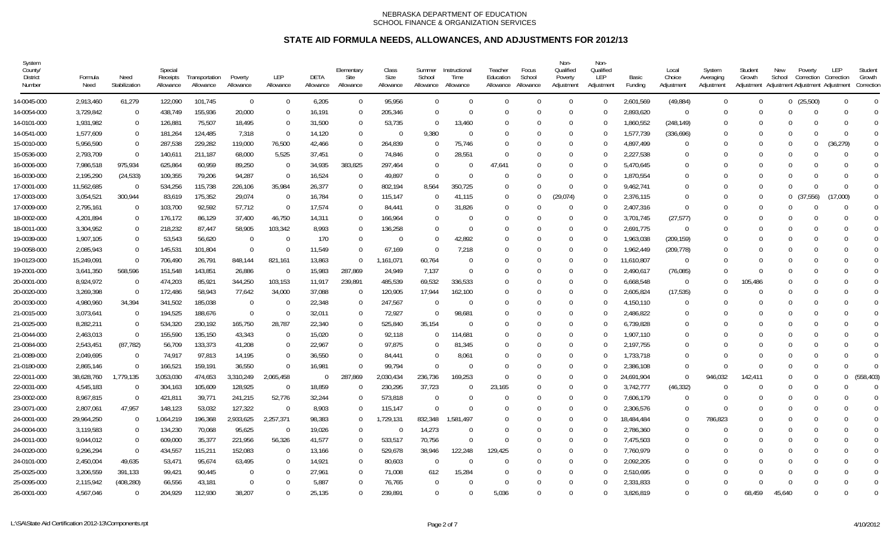| System<br>County/<br>District<br>Number | Formula<br>Need | Need<br>Stabilization | Special<br>Receipts<br>Allowance | Transportation<br>Allowance | Poverty<br>Allowance | LEP<br>Allowance | DETA<br>Allowance | Elementary<br>Site<br>Allowance | Class<br>Size<br>Allowance | Summer<br>School<br>Allowance | Instructional<br>Time<br>Allowance | Teacher<br>Education<br>Allowance | Focus<br>School<br>Allowance | Non-<br>Qualified<br>Poverty<br>Adjustment | Non-<br>Qualified<br>LEP<br>Adjustment | Basic<br>Funding | Local<br>Choice<br>Adjustment | System<br>Averaging<br>Adjustment | Student<br>Growth<br>Adjustment | New<br>School | Poverty<br>Correction | <b>LEP</b><br>Correction<br>Adjustment Adjustment Adjustment | Student<br>Growth<br>Correction |
|-----------------------------------------|-----------------|-----------------------|----------------------------------|-----------------------------|----------------------|------------------|-------------------|---------------------------------|----------------------------|-------------------------------|------------------------------------|-----------------------------------|------------------------------|--------------------------------------------|----------------------------------------|------------------|-------------------------------|-----------------------------------|---------------------------------|---------------|-----------------------|--------------------------------------------------------------|---------------------------------|
| 14-0045-000                             | 2,913,460       | 61,279                | 122,090                          | 101,745                     | $\overline{0}$       | $\Omega$         | 6,205             | $\Omega$                        | 95,956                     | $\overline{0}$                | $\Omega$                           | $\Omega$                          | $\Omega$                     | $\Omega$                                   | - 0                                    | 2,601,569        | (49, 884)                     | $\Omega$                          | $\Omega$                        |               | 0(25,500)             | $\Omega$                                                     | $\Omega$                        |
| 14-0054-000                             | 3,729,842       | $\overline{0}$        | 438,749                          | 155,936                     | 20,000               | $\Omega$         | 16,191            | $\Omega$                        | 205,346                    | $\Omega$                      | $\Omega$                           | $\Omega$                          | $\Omega$                     | $\Omega$                                   | - 0                                    | 2,893,620        | $\Omega$                      | $\Omega$                          | $\Omega$                        | $\cup$        | $\Omega$              |                                                              | $\Omega$                        |
| 14-0101-000                             | 1,931,982       | $\mathbf 0$           | 126,881                          | 75,507                      | 18,495               | $\overline{0}$   | 31,500            | - 0                             | 53,735                     | $\overline{0}$                | 13,460                             | 0                                 | $\Omega$                     | $\Omega$                                   | - 0                                    | 1,860,552        | (248, 149)                    | $\Omega$                          | $\Omega$                        | $\Omega$      | $\Omega$              |                                                              | $\Omega$                        |
| 14-0541-000                             | 1,577,609       | $\mathbf 0$           | 181,264                          | 124,485                     | 7,318                | $\Omega$         | 14,120            | $\mathbf 0$                     | $\overline{0}$             | 9,380                         | $\Omega$                           | $\Omega$                          | $\Omega$                     | $\Omega$                                   | $\overline{0}$                         | 1,577,739        | (336, 696)                    | $\Omega$                          | $\Omega$                        | $\Omega$      | $\Omega$              | $\Omega$                                                     | $\Omega$                        |
| 15-0010-000                             | 5,956,590       | $\Omega$              | 287,538                          | 229,282                     | 119,000              | 76,500           | 42,466            | $\Omega$                        | 264,839                    | 0                             | 75,746                             | $\Omega$                          | $\Omega$                     | $\Omega$                                   | - 0                                    | 4,897,499        | $\Omega$                      | $\Omega$                          | $\Omega$                        | $\Omega$      | $\Omega$              | (36, 279)                                                    | $\Omega$                        |
| 15-0536-000                             | 2,793,709       | $\Omega$              | 140,611                          | 211,187                     | 68,000               | 5,525            | 37,451            | - 0                             | 74,846                     | $\Omega$                      | 28,551                             | $\Omega$                          | $\Omega$                     | 0                                          | - 0                                    | 2,227,538        | $\Omega$                      |                                   | $\Omega$                        | $\Omega$      | 0                     | $\Omega$                                                     | $\theta$                        |
| 16-0006-000                             | 7,986,518       | 975,934               | 625,864                          | 60,959                      | 89,250               | 0                | 34,935            | 383,825                         | 297,464                    | $\Omega$                      | - 0                                | 47,641                            | $\Omega$                     | $\Omega$                                   | - 0                                    | 5,470,645        | $\Omega$                      | $\Omega$                          | $\Omega$                        | $\Omega$      | $\Omega$              |                                                              | $\Omega$                        |
| 16-0030-000                             | 2,195,290       | (24, 533)             | 109,355                          | 79,206                      | 94,287               | $\Omega$         | 16,524            | $\Omega$                        | 49,897                     | $\Omega$                      | $\Omega$                           | $\Omega$                          | $\Omega$                     | $\Omega$                                   | $\Omega$                               | 1,870,554        | <sup>0</sup>                  | ſ                                 | $\Omega$                        | $\Omega$      | $\Omega$              |                                                              | $\Omega$                        |
| 17-0001-000                             | 11,562,685      | $\overline{0}$        | 534,256                          | 115,738                     | 226,106              | 35,984           | 26,377            | $\Omega$                        | 802,194                    | 8.564                         | 350.725                            | $\Omega$                          | $\Omega$                     | $\Omega$                                   | - 0                                    | 9,462,741        | $\Omega$                      | $\Omega$                          | $\Omega$                        | $\Omega$      | $\Omega$              | $\Omega$                                                     | $\Omega$                        |
| 17-0003-000                             | 3,054,521       | 300,944               | 83,619                           | 175,352                     | 29,074               | $\overline{0}$   | 16,784            | - 0                             | 115,147                    | $\Omega$                      | 41,115                             | 0                                 | $\Omega$                     | (29,074)                                   | - 0                                    | 2,376,115        | $\Omega$                      | $\Omega$                          | $\Omega$                        | 0             | (37, 556)             | (17,000)                                                     | 0                               |
| 17-0009-000                             | 2,795,161       | $\overline{0}$        | 103,700                          | 92,592                      | 57,712               | $\Omega$         | 17,574            | $\Omega$                        | 84,441                     | $\theta$                      | 31,826                             | $\Omega$                          | $\Omega$                     | $\Omega$                                   | $\overline{0}$                         | 2,407,316        | $\Omega$                      | $\Omega$                          | $\Omega$                        | $\Omega$      | $\Omega$              | $\Omega$                                                     | $\Omega$                        |
| 18-0002-000                             | 4,201,894       | $\overline{0}$        | 176,172                          | 86,129                      | 37,400               | 46,750           | 14,311            | 0                               | 166,964                    | 0                             | $\Omega$                           | $\Omega$                          |                              | 0                                          | - 0                                    | 3,701,745        | (27, 577)                     | $\Omega$                          | $\Omega$                        | $\Omega$      | $\Omega$              |                                                              | $\Omega$                        |
| 18-0011-000                             | 3,304,952       | $\mathbf 0$           | 218,232                          | 87,447                      | 58,905               | 103,342          | 8,993             | $\Omega$                        | 136,258                    | $\Omega$                      | $\Omega$                           | $\Omega$                          | $\Omega$                     | 0                                          | - 0                                    | 2,691,775        | $\overline{0}$                | $\Omega$                          | $\Omega$                        | $\Omega$      | $\Omega$              |                                                              | $\Omega$                        |
| 19-0039-000                             | 1,907,105       | $\Omega$              | 53,543                           | 56,620                      | $\overline{0}$       | $\Omega$         | 170               | $\Omega$                        | - 0                        | $\Omega$                      | 42,892                             | $\Omega$                          | $\Omega$                     | $\Omega$                                   | - 0                                    | 1,963,038        | (209, 159)                    | $\Omega$                          | $\Omega$                        | $\Omega$      | $\Omega$              |                                                              | $\Omega$                        |
| 19-0058-000                             | 2,085,943       | $\Omega$              | 145,531                          | 101,804                     | $\Omega$             | $\Omega$         | 11,549            | $\Omega$                        | 67,169                     | $\Omega$                      | 7,218                              | $\Omega$                          | $\Omega$                     | 0                                          | - 0                                    | 1,962,449        | (209, 778)                    | $\Omega$                          | $\Omega$                        | $\Omega$      | $\Omega$              |                                                              | $\Omega$                        |
| 19-0123-000                             | 15,249,091      | $\Omega$              | 706,490                          | 26,791                      | 848,144              | 821,161          | 13,863            | $\Omega$                        | 1,161,071                  | 60,764                        | $\Omega$                           | $\Omega$                          | $\Omega$                     | $\Omega$                                   | $\Omega$                               | 11,610,807       | $\Omega$                      | $\Omega$                          | $\Omega$                        | $\Omega$      | $\Omega$              |                                                              | $\Omega$                        |
| 19-2001-000                             | 3,641,350       | 568,596               | 151,548                          | 143,851                     | 26,886               | $\Omega$         | 15,983            | 287,869                         | 24,949                     | 7,137                         | $\Omega$                           | $\Omega$                          | $\Omega$                     | $\Omega$                                   | - 0                                    | 2,490,617        | (76, 085)                     | $\Omega$                          | $\Omega$                        | $\Omega$      | $\Omega$              |                                                              | $\Omega$                        |
| 20-0001-000                             | 8,924,972       | $\mathbf 0$           | 474,203                          | 85,921                      | 344,250              | 103,153          | 11,917            | 239,891                         | 485,539                    | 69,532                        | 336,533                            | $\Omega$                          |                              | 0                                          | 0                                      | 6,668,548        | $\overline{0}$                | $\Omega$                          | 105,486                         | $\Omega$      | 0                     |                                                              | $\Omega$                        |
| 20-0020-000                             | 3,269,398       | $\mathbf 0$           | 172,486                          | 58,943                      | 77,642               | 34,000           | 37,088            | $\Omega$                        | 120,905                    | 17,944                        | 162,100                            | $\Omega$                          | $\Omega$                     | $\Omega$                                   | - 0                                    | 2,605,824        | (17, 535)                     | $\Omega$                          | $\Omega$                        | $\Omega$      | $\Omega$              | $\cap$                                                       | $\Omega$                        |
| 20-0030-000                             | 4,980,960       | 34,394                | 341,502                          | 185,038                     | - 0                  | -0               | 22,348            | - 0                             | 247,567                    | -0                            | $\Omega$                           | $\Omega$                          | $\Omega$                     | $\Omega$                                   | $\overline{0}$                         | 4,150,110        | - 0                           | $\Omega$                          | $\Omega$                        | $\Omega$      | $\Omega$              |                                                              | $\Omega$                        |
| 21-0015-000                             | 3,073,641       | $\overline{0}$        | 194,525                          | 188,676                     | $\Omega$             | $\Omega$         | 32,011            | $\Omega$                        | 72,927                     | $\Omega$                      | 98,681                             | $\Omega$                          | $\Omega$                     | <sup>0</sup>                               | $\Omega$                               | 2,486,822        | $\Omega$                      | $\Omega$                          | $\Omega$                        | $\Omega$      | $\Omega$              |                                                              | $\Omega$                        |
| 21-0025-000                             | 8,282,211       | $\overline{0}$        | 534,320                          | 230,192                     | 165,750              | 28,787           | 22,340            | - 0                             | 525,840                    | 35,154                        | $\Omega$                           | $\Omega$                          | $\Omega$                     | <sup>0</sup>                               | - 0                                    | 6,739,828        | $\Omega$                      | $\Omega$                          | $\Omega$                        | $\Omega$      | $\Omega$              |                                                              | 0                               |
| 21-0044-000                             | 2,463,013       | $\overline{0}$        | 155,590                          | 135,150                     | 43,343               | $\Omega$         | 15,020            | $\Omega$                        | 92,118                     | $\Omega$                      | 114,681                            | $\Omega$                          | $\Omega$                     | <sup>0</sup>                               | - 0                                    | 1,907,110        | $\Omega$                      | $\Omega$                          | $\Omega$                        | $\Omega$      | $\Omega$              |                                                              | $\Omega$                        |
| 21-0084-000                             | 2,543,451       | (87, 782)             | 56,709                           | 133,373                     | 41,208               | $\Omega$         | 22,967            | - 0                             | 97,875                     | $\Omega$                      | 81,345                             | $\Omega$                          | $\Omega$                     | <sup>0</sup>                               | - 0                                    | 2,197,755        | <sup>0</sup>                  | $\Omega$                          | $\Omega$                        | $\Omega$      | $\Omega$              |                                                              | $\Omega$                        |
| 21-0089-000                             | 2,049,695       | $\overline{0}$        | 74,917                           | 97,813                      | 14,195               | $\overline{0}$   | 36,550            | $\Omega$                        | 84,441                     | $\Omega$                      | 8,061                              | $\Omega$                          | $\Omega$                     | $\Omega$                                   | - 0                                    | 1,733,718        | $\Omega$                      | $\Omega$                          | $\Omega$                        | $\Omega$      | $\Omega$              |                                                              | $\Omega$                        |
| 21-0180-000                             | 2,865,146       | $\Omega$              | 166,521                          | 159,191                     | 36,550               | $\Omega$         | 16,981            | $\Omega$                        | 99,794                     | $\Omega$                      | $\Omega$                           | $\Omega$                          | $\Omega$                     | $\Omega$                                   | $\overline{0}$                         | 2,386,108        | - 0                           | $\Omega$                          | $\Omega$                        | $\Omega$      | $\Omega$              | $\Omega$                                                     | $\Omega$                        |
| 22-0011-000                             | 38,628,760      | 1,779,135             | 3,053,030                        | 474,653                     | 3,310,249            | 2,065,458        | $\sqrt{ }$        | 287,869                         | 2,030,434                  | 236,736                       | 169,253                            | $\Omega$                          | $\Omega$                     | $\Omega$                                   | $\Omega$                               | 24,691,904       | $\overline{0}$                | 946,032                           | 142,411                         | $\Omega$      | $\Omega$              | $\Omega$                                                     | 558,403)                        |
| 22-0031-000                             | 4,545,183       | $\overline{0}$        | 304,163                          | 105,609                     | 128,925              | $\overline{0}$   | 18,859            | $\Omega$                        | 230,295                    | 37,723                        | $\Omega$                           | 23,165                            | $\Omega$                     | <sup>0</sup>                               | - 0                                    | 3,742,777        | (46, 332)                     | $\Omega$                          | ſ                               | $\Omega$      | $\Omega$              |                                                              | $\Omega$                        |
| 23-0002-000                             | 8,967,815       | $\overline{0}$        | 421,811                          | 39,771                      | 241,215              | 52,776           | 32,244            | $\Omega$                        | 573,818                    | $\Omega$                      | $\Omega$                           | $\Omega$                          | $\Omega$                     | <sup>0</sup>                               | - 0                                    | 7,606,179        | $\Omega$                      | $\Omega$                          | $\Omega$                        | $\Omega$      | $\Omega$              |                                                              | $\Omega$                        |
| 23-0071-000                             | 2,807,061       | 47,957                | 148,123                          | 53,032                      | 127,322              | $\Omega$         | 8,903             | $\Omega$                        | 115,147                    | ſ                             | $\Omega$                           | $\Omega$                          |                              | <sup>0</sup>                               | $\Omega$                               | 2,306,576        | $\Omega$                      | $\Omega$                          | $\Omega$                        | $\Omega$      | $\Omega$              |                                                              | $\Omega$                        |
| 24-0001-000                             | 29,964,250      | $\overline{0}$        | 064,219,                         | 196,368                     | 2,933,625            | 2,257,371        | 98,383            | $\Omega$                        | 1,729,131                  | 832,348                       | 1,581,497                          | $\Omega$                          | $\Omega$                     | $\Omega$                                   | - 0                                    | 18,484,484       | $\Omega$                      | 786,823                           | $\Omega$                        | $\Omega$      | $\Omega$              |                                                              | $\Omega$                        |
| 24-0004-000                             | 3,119,583       | $\overline{0}$        | 134,230                          | 70,068                      | 95,625               | $\overline{0}$   | 19,026            | - 0                             | $\overline{0}$             | 14,273                        | - 0                                | $\Omega$                          | $\Omega$                     | $\Omega$                                   | - 0                                    | 2,786,360        | $\Omega$                      | $\Omega$                          | $\Omega$                        | $\Omega$      | $\Omega$              |                                                              | $\Omega$                        |
| 24-0011-000                             | 9,044,012       | $\overline{0}$        | 609,000                          | 35,377                      | 221,956              | 56,326           | 41,577            | $\Omega$                        | 533,517                    | 70,756                        | $\Omega$                           | $\Omega$                          | $\Omega$                     | $\Omega$                                   | $\overline{0}$                         | 7,475,503        | $\Omega$                      | $\Omega$                          | $\Omega$                        | $\Omega$      | $\Omega$              |                                                              | $\Omega$                        |
| 24-0020-000                             | 9,296,294       | $\overline{0}$        | 434,557                          | 115,211                     | 152,083              | $\overline{0}$   | 13,166            | $\Omega$                        | 529,678                    | 38,946                        | 122,248                            | 129,425                           | $\Omega$                     | $\Omega$                                   | - 0                                    | 7,760,979        | 0                             | $\Omega$                          | $\Omega$                        | $\Omega$      | $\Omega$              | 0                                                            | $\Omega$                        |
| 24-0101-000                             | 2,450,004       | 49,635                | 53,471                           | 95,674                      | 63,495               | $\Omega$         | 14,921            | $\Omega$                        | 80,603                     | $\Omega$                      | $\Omega$                           | $\Omega$                          | $\Omega$                     | $\Omega$                                   | $\Omega$                               | 2,092,205        | <sup>0</sup>                  | $\Omega$                          | $\Omega$                        | $\Omega$      | $\Omega$              |                                                              | $\Omega$                        |
| 25-0025-000                             | 3,206,559       | 391,133               | 99,421                           | 90,445                      | $\Omega$             | $\Omega$         | 27,961            | - 0                             | 71,008                     | 612                           | 15,284                             | $\Omega$                          | $\Omega$                     | $\Omega$                                   | - 0                                    | 2,510,695        | $\Omega$                      | $\Omega$                          | $\Omega$                        | $\Omega$      | $\Omega$              |                                                              | $\Omega$                        |
| 25-0095-000                             | 2,115,942       | (408,280)             | 66,556                           | 43,181                      | $\Omega$             | $\Omega$         | 5,887             | $\Omega$                        | 76,765                     | $\Omega$                      | <sup>0</sup>                       | $\Omega$                          | $\Omega$                     | $\Omega$                                   | $\Omega$                               | 2,331,833        | $\Omega$                      | $\Omega$                          | $\Omega$                        | $\Omega$      | $\Omega$              |                                                              | $\Omega$                        |
| 26-0001-000                             | 4,567,046       | $\Omega$              | 204,929                          | 112,930                     | 38.207               | $\Omega$         | 25.135            | $\Omega$                        | 239.891                    | $\Omega$                      | $\Omega$                           | 5.036                             | $\Omega$                     | $\Omega$                                   | $\Omega$                               | 3.826.819        | $\Omega$                      | $\Omega$                          | 68.459                          | 45.640        | $\Omega$              |                                                              | $\Omega$                        |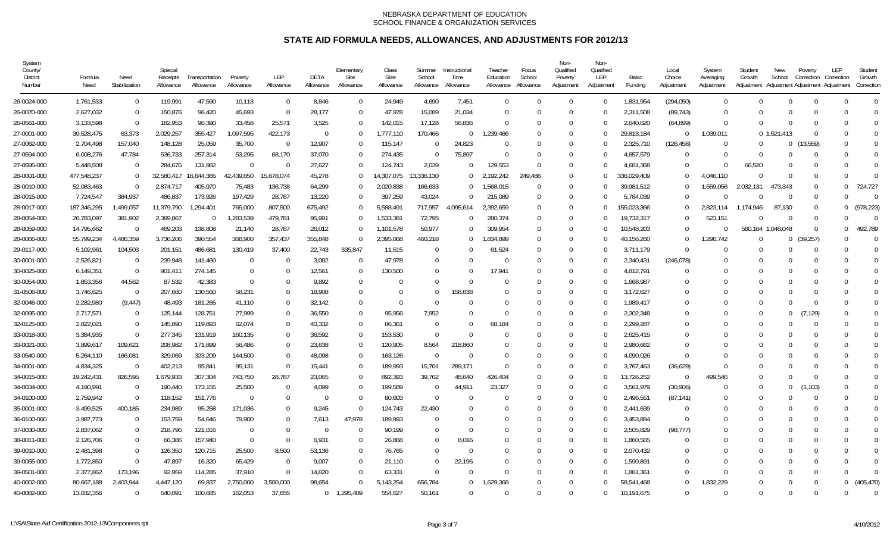| System<br>County/<br>District<br>Number | Formula<br>Need | Need<br>Stabilization | Special<br>Receipts<br>Allowance | Transportation<br>Allowance | Poverty<br>Allowance | <b>LEP</b><br>Allowance | DETA<br>Allowance | Elementary<br>Site<br>Allowance | Class<br>Size<br>Allowance | Summer<br>School<br>Allowance | Instructional<br>Time<br>Allowance | Teacher<br>Education<br>Allowance | Focus<br>School<br>Allowance | Non-<br>Qualified<br>Poverty<br>Adjustment | Non-<br>Qualified<br><b>LEP</b><br>Adjustment | Basic<br>Funding | Local<br>Choice<br>Adjustment | System<br>Averaging<br>Adjustment | Student<br>Growth<br>Adjustment | New<br>School     | Poverty<br>Correction<br>Adjustment Adjustment Adjustment | LEP<br>Correction | Student<br>Growth<br>Correction |  |
|-----------------------------------------|-----------------|-----------------------|----------------------------------|-----------------------------|----------------------|-------------------------|-------------------|---------------------------------|----------------------------|-------------------------------|------------------------------------|-----------------------------------|------------------------------|--------------------------------------------|-----------------------------------------------|------------------|-------------------------------|-----------------------------------|---------------------------------|-------------------|-----------------------------------------------------------|-------------------|---------------------------------|--|
| 26-0024-000                             | 1,761,533       | $\Omega$              | 119.991                          | 47,590                      | 10,113               | $\overline{0}$          | 8,846             | $\Omega$                        | 24,949                     | 4,690                         | 7,451                              | $\Omega$                          | $\Omega$                     | $\Omega$                                   | $\Omega$                                      | 1,831,954        | (294, 050)                    | $\Omega$                          | $\Omega$                        | $\Omega$          | $\Omega$                                                  |                   | $\Omega$                        |  |
| 26-0070-000                             | 2,627,032       | - 0                   | 150,876                          | 96,420                      | 45,693               | $\overline{0}$          | 28,177            | $\Omega$                        | 47,978                     | 15,089                        | 21,034                             | $\Omega$                          | $\Omega$                     | $\Omega$                                   | $\bigcap$                                     | 2,311,508        | (89, 743)                     | $\Omega$                          | $\Omega$                        | $\Omega$          | $\Omega$                                                  |                   | $\Omega$                        |  |
| 26-0561-000                             | 3,133,598       | $\Omega$              | 182,953                          | 96,390                      | 33,458               | 25,571                  | 3,525             | $\Omega$                        | 142,015                    | 17,128                        | 56,836                             | $\Omega$                          | $\Omega$                     | $\Omega$                                   | $\Omega$                                      | 2,640,620        | (64, 899)                     | $\Omega$                          | $\Omega$                        | $\Omega$          | $\Omega$                                                  |                   | $\Omega$                        |  |
| 27-0001-000                             | 39,528,475      | 63,373                | 2,029,257                        | 355,427                     | 1,097,595            | 422,173                 | $\Omega$          | $\Omega$                        | 1,777,110                  | 170,466                       | $\Omega$                           | 1,239,466                         | $\Omega$                     | $\Omega$                                   | $\Omega$                                      | 29,813,184       | - 0                           | 1,039,011                         |                                 | 0, 1, 521, 413    | $\Omega$                                                  | $\Omega$          | $\Omega$                        |  |
| 27-0062-000                             | 2,704,498       | 157,040               | 148,128                          | 25,059                      | 35,700               | $\Omega$                | 12,907            | $\left($                        | 115,147                    | $\Omega$                      | 24,823                             | $\Omega$                          | $\Omega$                     | $\left($                                   | $\Omega$                                      | 2,325,710        | (126, 458)                    | $\Omega$                          | $\Omega$                        | $\bf{0}$          | (13, 559)                                                 |                   | $\Omega$                        |  |
| 27-0594-000                             | 6,008,276       | 47,784                | 536,733                          | 257,314                     | 53,295               | 68,170                  | 37,070            | $\Omega$                        | 274,435                    | $\Omega$                      | 75,897                             | $\Omega$                          | $\Omega$                     | $\Omega$                                   | $\sqrt{ }$                                    | 4,657,579        | $\Omega$                      | $\Omega$                          | $\Omega$                        | $\Omega$          | $\Omega$                                                  |                   | $\Omega$                        |  |
| 27-0595-000                             | 5,448,508       | $\Omega$              | 284,676                          | 131,982                     | $\Omega$             | $\Omega$                | 27,627            | $\Omega$                        | 124,743                    | 2,039                         | $\Omega$                           | 129.553                           | $\Omega$                     | $\Omega$                                   | $\Omega$                                      | 4,681,368        | $\Omega$                      | $\Omega$                          | 66,520                          | $\Omega$          | $\Omega$                                                  |                   | $\Omega$                        |  |
| 28-0001-000                             | 477,548,237     | $\Omega$              | 32,580,417                       | 16,644,365                  | 42,439,650           | 5,678,074               | 45,278            | $\Omega$                        | 14,307,075                 | 13,336,130                    | $\Omega$                           | 2,192,242                         | 249,486                      | $\Omega$                                   | $\Omega$                                      | 336,029,409      | $\Omega$                      | 4,046,110                         | $\Omega$                        | $\Omega$          | $\Omega$                                                  |                   | $\Omega$                        |  |
| 28-0010-000                             | 52,083,463      | $\Omega$              | 2,874,717                        | 405,970                     | 75,483               | 136,738                 | 64,299            | $\Omega$                        | 2,020,838                  | 166,633                       | $\Omega$                           | ,568,015                          | $\Omega$                     | $\Omega$                                   | $\bigcap$                                     | 39,981,512       | $\Omega$                      | 1,559,056                         | 2,032,131                       | 473,343           | $\Omega$                                                  | $\cup$            | 724,727                         |  |
| 28-0015-000                             | 7,724,547       | 384,937               | 486,837                          | 173,926                     | 197,429              | 28,787                  | 13,220            | $\Omega$                        | 397,259                    | 43,024                        | $\Omega$                           | 215,089                           | $\Omega$                     | $\Omega$                                   | $\bigcap$                                     | 5.784.039        | $\Omega$                      | $\Omega$                          | $\Omega$                        | $\Omega$          | $\Omega$                                                  |                   | $\Omega$                        |  |
| 28-0017-000                             | 187,346,295     | 1,499,057             | 11,379,790                       | 1,294,401                   | 765,000              | 807,500                 | 675,492           | $\Omega$                        | 5,588,491                  | 717,957                       | 4,095,614                          | ,392,659                          | $\Omega$                     | $\Omega$                                   | $\Omega$                                      | 155,023,366      | $\Omega$                      | 2,823,114                         | 1.174.946                       | 87,130            | $\Omega$                                                  | $\cup$            | (978, 223)                      |  |
| 28-0054-000                             | 26,783,097      | 381,902               | 2,399,867                        | $\overline{0}$              | 1,283,539            | 479,781                 | 95,991            | $\Omega$                        | 1,533,381                  | 72,795                        | $\Omega$                           | 280.374                           | $\Omega$                     | $\Omega$                                   | $\bigcap$                                     | 19,732,317       | - 0                           | 523,151                           | $\cup$                          | $\Omega$          | $\Omega$                                                  |                   | $\Omega$                        |  |
| 28-0059-000                             | 14,795,662      | $\Omega$              | 469,203                          | 138,808                     | 21,140               | 28,787                  | 26,012            | $\Omega$                        | 1,101,578                  | 50,977                        | $\overline{0}$                     | 309,954                           | $\Omega$                     | $\Omega$                                   | $\Omega$                                      | 10,548,203       | $\Omega$                      | $\Omega$                          |                                 | 560,164 1,048,048 | - 0                                                       | $\Omega$          | 492,789                         |  |
| 28-0066-000                             | 55,799,234      | 4,486,359             | 3,736,206                        | 390,554                     | 368,900              | 357,437                 | 355,848           | $\Omega$                        | 2,395,068                  | 460,218                       | $\Omega$                           | ,834,899                          | $\Omega$                     | $\Omega$                                   | $\Omega$                                      | 40,156,260       | - 0                           | 1,296,742                         | $\Omega$                        | $\mathbf{0}$      | (39, 257)                                                 | $\Omega$          | $\Omega$                        |  |
| 29-0117-000                             | 5,102,961       | 104,503               | 201,151                          | 486,681                     | 130,419              | 37,400                  | 22,743            | 335,847                         | 11,515                     | $\Omega$                      | $\Omega$                           | 61,524                            | $\Omega$                     | $\Omega$                                   | -0                                            | 3,711,179        | $\Omega$                      | $\Omega$                          | $\Omega$                        | $\Omega$          | $\Omega$                                                  |                   | $\Omega$                        |  |
| 30-0001-000                             | 2,526,821       | $\Omega$              | 239,948                          | 141,460                     | 0                    | $\Omega$                | 3,082             | $\Omega$                        | 47,978                     | $\Omega$                      | $\Omega$                           | $\Omega$                          | $\Omega$                     | $\Omega$                                   | -0                                            | 2,340,431        | (246, 078)                    | $\Omega$                          | $\Omega$                        | $\Omega$          | $\Omega$                                                  |                   | $\Omega$                        |  |
| 30-0025-000                             | 6,149,351       | $\Omega$              | 901,411                          | 274,145                     | $\mathbf 0$          | $\Omega$                | 12,561            | $\left($                        | 130,500                    | $\Omega$                      | $\Omega$                           | 17.941                            | $\Omega$                     | $\Omega$                                   | - 0                                           | 4,812,791        | $\Omega$                      | $\Omega$                          | 0                               | $\Omega$          | $\Omega$                                                  |                   | $\Omega$                        |  |
| 30-0054-000                             | 1,853,356       | 44,562                | 87,532                           | 42,383                      | $\Omega$             | $\Omega$                | 9,892             | $\Omega$                        | 0                          | $\Omega$                      | $\Omega$                           | -0                                | $\cup$                       | $\Omega$                                   | -0                                            | 1,668,987        | $\Omega$                      | $\Omega$                          | $\Omega$                        | $\Omega$          | $\Omega$                                                  |                   | $\Omega$                        |  |
| 31-0506-000                             | 3,746,625       | $\Omega$              | 207,660                          | 130,560                     | 58,231               | $\Omega$                | 18,908            | $\Omega$                        | $\Omega$                   | $\Omega$                      | 158,638                            | 0                                 | $\Omega$                     | $\Omega$                                   | $\bigcap$                                     | 3,172,627        | $\Omega$                      | $\Omega$                          | $\Omega$                        | $\Omega$          | $\Omega$                                                  |                   | $\Omega$                        |  |
| 32-0046-000                             | 2,282,980       | (9, 447)              | 48,493                           | 181,265                     | 41,110               | $\Omega$                | 32,142            | $\Omega$                        | $\Omega$                   | $\Omega$                      | $\Omega$                           | $\Omega$                          | $\Omega$                     | $\Omega$                                   | $\bigcap$                                     | 1.989.417        | $\Omega$                      | $\Omega$                          | $\Omega$                        | $\Omega$          | $\Omega$                                                  |                   | $\Omega$                        |  |
| 32-0095-000                             | 2,717,571       | $\Omega$              | 125,144                          | 128,751                     | 27,999               | $\Omega$                | 36,550            | $\Omega$                        | 95,956                     | 7,952                         | $\Omega$                           | $\Omega$                          | $\Omega$                     | $\Omega$                                   | $\bigcap$                                     | 2,302,348        | $\Omega$                      | $\Omega$                          | $\Omega$                        | $\Omega$          | (7, 129)                                                  |                   | U                               |  |
| 32-0125-000                             | 2,822,021       | $\Omega$              | 145,890                          | 119,893                     | 62,074               | $\Omega$                | 40,332            | $\Omega$                        | 86,361                     | $\Omega$                      | $\Omega$                           | 68,184                            | $\Omega$                     | $\Omega$                                   | $\bigcap$                                     | 2,299,287        | $\Omega$                      | $\Omega$                          | $\Omega$                        | $\Omega$          | $\Omega$                                                  |                   | 0                               |  |
| 33-0018-000                             | 3,384,935       | $\Omega$              | 277,345                          | 131,919                     | 160,135              | $\Omega$                | 36,592            | $\Omega$                        | 153,530                    | $\Omega$                      | $\Omega$                           | $\Omega$                          | $\Omega$                     | $\Omega$                                   | $\bigcap$                                     | 2,625,415        | $\Omega$                      | $\Omega$                          | $\Omega$                        | $\Omega$          | <sup>-</sup>                                              |                   | $\Omega$                        |  |
| 33-0021-000                             | 3,899,617       | 109,621               | 208,982                          | 171,899                     | 56,486               | $\Omega$                | 23,638            | $\Omega$                        | 120,905                    | 8,564                         | 218,860                            | $\Omega$                          | $\Omega$                     | $\Omega$                                   | -0                                            | 2,980,662        | $\Omega$                      | $\Omega$                          | $\Omega$                        | $\Omega$          | $\Omega$                                                  |                   | $\Omega$                        |  |
| 33-0540-000                             | 5,264,110       | 166,081               | 329,069                          | 323,209                     | 144,500              | $\Omega$                | 48,098            | $\Omega$                        | 163,126                    | $\Omega$                      | $\Omega$                           | $\Omega$                          | $\Omega$                     | $\Omega$                                   | -0                                            | 4,090,026        | $\Omega$                      | $\Omega$                          | $\Omega$                        | $\Omega$          | $\Omega$                                                  |                   | $\Omega$                        |  |
| 34-0001-000                             | 4,834,325       | $\Omega$              | 402,213                          | 95,841                      | 95,131               | $\overline{0}$          | 15,441            | $\Omega$                        | 189,993                    | 15,701                        | 289,171                            | $\Omega$                          | $\Omega$                     | $\Omega$                                   | - 0                                           | 3,767,463        | (36,629)                      | $\Omega$                          | $\Omega$                        | $\Omega$          | $\Omega$                                                  |                   | $\Omega$                        |  |
| 34-0015-000                             | 19,242,431      | 826,595               | 1,679,933                        | 307,304                     | 743,750              | 28,787                  | 23,065            | $\Omega$                        | 892,393                    | 39,762                        | 48,640                             | 426,404                           | $\Omega$                     | $\Omega$                                   | $\bigcap$                                     | 13,726,252       | - 0                           | 499,546                           | $\Omega$                        | $\Omega$          | $\Omega$                                                  |                   | $\Omega$                        |  |
| 34-0034-000                             | 4,190,991       | $\Omega$              | 190,440                          | 173,155                     | 25,500               | $\Omega$                | 4,099             | $\Omega$                        | 199,589                    | $\Omega$                      | 44,911                             | 23,327                            | $\Omega$                     | $\Omega$                                   | $\Omega$                                      | 3,561,979        | (30,906)                      | $\Omega$                          | $\Omega$                        | $\Omega$          | ,103)                                                     |                   | $\Omega$                        |  |
| 34-0100-000                             | 2,759,942       | $\Omega$              | 118,152                          | 151,776                     | - 0                  | $\Omega$                | $\Omega$          | $\Omega$                        | 80,603                     | $\Omega$                      | $\Omega$                           | $\Omega$                          | $\Omega$                     | $\Omega$                                   | - 0                                           | 2,496,551        | (87, 141)                     | $\Omega$                          | $\Omega$                        | $\Omega$          | $\Omega$                                                  |                   | $\Omega$                        |  |
| 35-0001-000                             | 3,499,525       | 400,185               | 234,989                          | 95,258                      | 171,036              | $\Omega$                | 9,245             | $\Omega$                        | 124,743                    | 22,430                        |                                    |                                   | $\cup$                       | $\Omega$                                   | $\bigcap$                                     | 2,441,639        | - 0                           | $\Omega$                          | $\Omega$                        | $\Omega$          | $\Omega$                                                  |                   | $\Omega$                        |  |
| 36-0100-000                             | 3,987,773       | - 0                   | 153,759                          | 54,646                      | 79,900               | $\Omega$                | 7,613             | 47,978                          | 189,993                    | $\Omega$                      | $\Omega$                           | $\Omega$                          | $\Omega$                     | $\Omega$                                   | $\bigcap$                                     | 3,453,884        | $\Omega$                      | $\Omega$                          | $\Omega$                        | $\Omega$          | $\Omega$                                                  |                   | $\Omega$                        |  |
| 37-0030-000                             | 2,837,062       | - 0                   | 218,796                          | 121,016                     | $\overline{0}$       | $\Omega$                | $\overline{0}$    | -0                              | 90,199                     | $\Omega$                      | - 0                                | $\left($                          | $\Omega$                     | $\left($                                   | -0                                            | 2,505,829        | (98, 777)                     | $\Omega$                          | $\Omega$                        | $\Omega$          | $\Omega$                                                  |                   | $\Omega$                        |  |
| 38-0011-000                             | 2,126,706       | $\overline{0}$        | 66,386                           | 157,940                     | $\Omega$             | $\Omega$                | 6,931             | $\Omega$                        | 26,868                     | $\Omega$                      | 8.016                              |                                   | $\Omega$                     |                                            | $\bigcap$                                     | 1,860,565        | $\Omega$                      | $\Omega$                          | $\Omega$                        | $\Omega$          | C                                                         |                   | $\Omega$                        |  |
| 39-0010-000                             | 2,481,398       | - 0                   | 126,350                          | 120,715                     | 25,500               | 8,500                   | 53,136            | $\Omega$                        | 76,765                     | $\Omega$                      | - 0                                | $\Omega$                          | $\Omega$                     | $\Omega$                                   | - 0                                           | 2,070,432        | $\Omega$                      | $\Omega$                          | $\Omega$                        | $\Omega$          | $\Omega$                                                  |                   | $\Omega$                        |  |
| 39-0055-000                             | 1,772,850       | $\Omega$              | 47,897                           | 16,320                      | 65,429               | $\Omega$                | 9,007             | $\Omega$                        | 21,110                     | $\Omega$                      | 22,195                             | $\Omega$                          | $\Omega$                     | $\Omega$                                   | $\bigcap$                                     | 1,590,891        | $\Omega$                      | $\Omega$                          | $\Omega$                        | $\Omega$          | $\Omega$                                                  |                   | $\Omega$                        |  |
| 39-0501-000                             | 2,377,862       | 173,196               | 92,959                           | 114,285                     | 37,910               | $\overline{0}$          | 14,820            | $\Omega$                        | 63,331                     | $\Omega$                      | $\Omega$                           | $\Omega$                          | $\Omega$                     | $\Omega$                                   | $\bigcap$                                     | 1,881,361        | $\Omega$                      | $\Omega$                          | $\Omega$                        | $\Omega$          | $\Omega$                                                  |                   | $\Omega$                        |  |
| 40-0002-000                             | 80,667,188      | 2,403,944             | 4,447,120                        | 69,837                      | 2,750,000            | 3,500,000               | 98,654            | $\Omega$                        | 5,143,254                  | 656,784                       | $\Omega$                           | 629,368                           | $\Omega$                     | $\Omega$                                   | $\bigcap$                                     | 58.541.468       | $\Omega$                      | .832.229                          | $\Omega$                        | $\Omega$          | $\Omega$                                                  | $\Omega$          | (405, 470)                      |  |
| 40-0082-000                             | 13,032,356      | $\Omega$              | 640,091                          | 100,685                     | 162,053              | 37.655                  |                   | 0 1.295.409                     | 554.627                    | 50.161                        | $\Omega$                           |                                   | $\Omega$                     | $\Omega$                                   | $\Omega$                                      | 10.191.675       | $\Omega$                      | $\Omega$                          | $\Omega$                        | $\Omega$          | $\Omega$                                                  |                   | $\Omega$                        |  |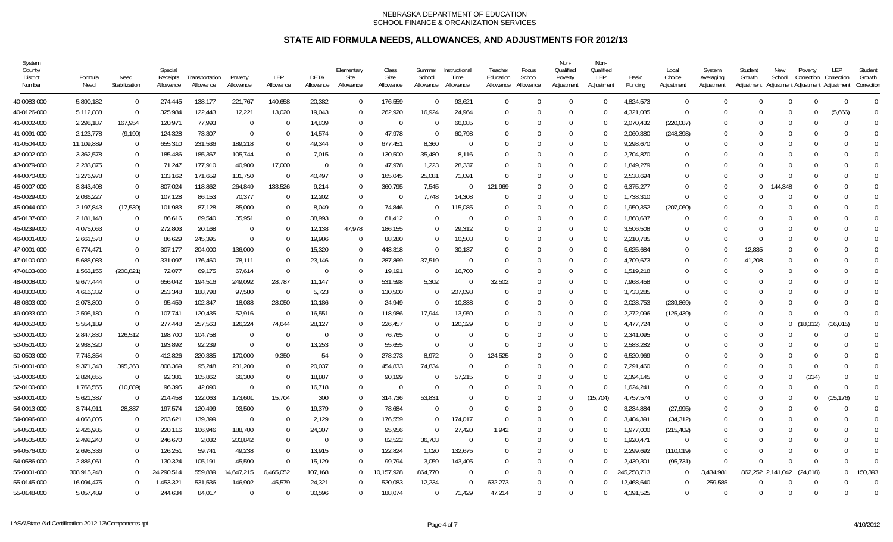| System<br>County/<br>District<br>Number | Formula<br>Need | Need<br>Stabilization | Special<br>Receipts<br>Allowance | Transportation<br>Allowance | Poverty<br>Allowance | <b>LEP</b><br>Allowance | DETA<br>Allowance | Elementary<br>Site<br>Allowance | Class<br>Size<br>Allowance | Summer<br>School<br>Allowance | Instructional<br>Time<br>Allowance | Teacher<br>Education<br>Allowance | Focus<br>School<br>Allowance | Non-<br>Qualified<br>Poverty<br>Adjustment | Non-<br>Qualified<br><b>LEP</b><br>Adjustment | Basic<br>Funding | Local<br>Choice<br>Adjustment | System<br>Averaging<br>Adjustment | Student<br>Growth<br>Adjustment | New<br>School     | Poverty<br>Correction | LEP<br>Correction<br>Adjustment Adjustment Adjustment | Student<br>Growth<br>Correction |
|-----------------------------------------|-----------------|-----------------------|----------------------------------|-----------------------------|----------------------|-------------------------|-------------------|---------------------------------|----------------------------|-------------------------------|------------------------------------|-----------------------------------|------------------------------|--------------------------------------------|-----------------------------------------------|------------------|-------------------------------|-----------------------------------|---------------------------------|-------------------|-----------------------|-------------------------------------------------------|---------------------------------|
| 40-0083-000                             | 5,890,182       | $\Omega$              | 274,445                          | 138,177                     | 221,767              | 140,658                 | 20,382            | $\Omega$                        | 176,559                    | $\Omega$                      | 93,621                             | $\Omega$                          | $\Omega$                     | $\Omega$                                   | $\Omega$                                      | 4,824,573        | - 0                           | $\Omega$                          | $\Omega$                        | $\Omega$          | $\Omega$              | $\Omega$                                              | $\Omega$                        |
| 40-0126-000                             | 5,112,888       | $\Omega$              | 325,984                          | 122,443                     | 12,221               | 13,020                  | 19,043            | $\Omega$                        | 262,920                    | 16,924                        | 24,964                             | $\Omega$                          | $\Omega$                     | $\Omega$                                   | $\bigcap$                                     | 4,321,035        | - 0                           | $\Omega$                          | $\Omega$                        | $\Omega$          | $\Omega$              | (5,666)                                               | $\Omega$                        |
| 41-0002-000                             | 2,298,187       | 167,954               | 120,971                          | 77,993                      | $\overline{0}$       | $\Omega$                | 14,839            | $\Omega$                        | $\overline{0}$             | $\Omega$                      | 66,085                             | $\Omega$                          | $\cap$                       | $\Omega$                                   | - 0                                           | 2,070,432        | (220, 087)                    | $\Omega$                          | $\Omega$                        | $\Omega$          | C                     | $\Omega$                                              | $\Omega$                        |
| 41-0091-000                             | 2,123,778       | (9,190)               | 124,328                          | 73,307                      | $\Omega$             | $\Omega$                | 14,574            | $\Omega$                        | 47,978                     | $\Omega$                      | 60,798                             | $\Omega$                          | $\Omega$                     | $\Omega$                                   | $\Omega$                                      | 2,060,380        | (248, 398)                    | $\Omega$                          | $\Omega$                        | $\Omega$          | $\Omega$              |                                                       | $\Omega$                        |
| 41-0504-000                             | 11,109,889      | - 0                   | 655,310                          | 231,536                     | 189,218              | $\Omega$                | 49,344            | $\left($                        | 677,451                    | 8,360                         | $\Omega$                           | $\Omega$                          | $\Omega$                     | $\Omega$                                   | $\Omega$                                      | 9,298,670        | $\Omega$                      | $\Omega$                          | $\Omega$                        | $\Omega$          | $\Omega$              |                                                       | $\Omega$                        |
| 42-0002-000                             | 3,362,578       | - 0                   | 185,486                          | 185,367                     | 105,744              | $\Omega$                | 7,015             | $\Omega$                        | 130,500                    | 35,480                        | 8,116                              | $\Omega$                          | $\Omega$                     | $\Omega$                                   | $\bigcap$                                     | 2,704,870        | $\Omega$                      | $\Omega$                          | $\Omega$                        | $\Omega$          | $\Omega$              |                                                       | $\Omega$                        |
| 43-0079-000                             | 2,233,875       | - 0                   | 71,247                           | 177,910                     | 40,900               | 17,000                  | - 0               | $\Omega$                        | 47,978                     | 1,223                         | 28,337                             | $\Omega$                          | $\Omega$                     | $\Omega$                                   | -0                                            | 1,849,279        | $\Omega$                      | $\Omega$                          | $\Omega$                        | $\Omega$          | $\Omega$              |                                                       | $\Omega$                        |
| 44-0070-000                             | 3,276,978       | - 0                   | 133,162                          | 171,659                     | 131,750              | $\overline{0}$          | 40,497            | $\left($                        | 165,045                    | 25,081                        | 71,091                             | $\Omega$                          | $\Omega$                     | $\Omega$                                   | 0                                             | 2,538,694        | $\Omega$                      |                                   | $\cup$                          | $\Omega$          | C                     |                                                       | $\Omega$                        |
| 45-0007-000                             | 8,343,408       | $\Omega$              | 807,024                          | 118,862                     | 264,849              | 133,526                 | 9,214             | $\Omega$                        | 360,795                    | 7,545                         | $\Omega$                           | 121,969                           | $\Omega$                     | $\Omega$                                   | - 0                                           | 6,375,277        | $\Omega$                      | $\Omega$                          | $\Omega$                        | 144,348           | $\Omega$              |                                                       | $\Omega$                        |
| 45-0029-000                             | 2,036,227       | $\Omega$              | 107,128                          | 86,153                      | 70,377               | $\Omega$                | 12,202            | $\Omega$                        | - 0                        | 7,748                         | 14,308                             | $\Omega$                          | $\Omega$                     | $\Omega$                                   | - 0                                           | 1,738,310        | $\Omega$                      | $\Omega$                          | $\Omega$                        | $\Omega$          | $\Omega$              |                                                       | 0                               |
| 45-0044-000                             | 2,197,843       | (17, 539)             | 101,983                          | 87,128                      | 85,000               | $\Omega$                | 8,049             | $\Omega$                        | 74,846                     | $\Omega$                      | 115,085                            | $\Omega$                          | $\Omega$                     | $\Omega$                                   | $\bigcap$                                     | 1,950,352        | (207,060)                     | $\Omega$                          | $\Omega$                        | $\Omega$          | C                     |                                                       | $\Omega$                        |
| 45-0137-000                             | 2,181,148       | $\Omega$              | 86,616                           | 89,540                      | 35,951               | $\Omega$                | 38,993            | $\Omega$                        | 61,412                     | $\Omega$                      | $\Omega$                           | $\Omega$                          | $\Omega$                     | $\Omega$                                   | $\bigcap$                                     | 1,868,637        | $\Omega$                      | $\Omega$                          | $\Omega$                        | $\Omega$          | $\Omega$              |                                                       | $\Omega$                        |
| 45-0239-000                             | 4,075,063       | $\overline{0}$        | 272,803                          | 20,168                      | $\mathbf 0$          | $\mathbf 0$             | 12,138            | 47,978                          | 186,155                    | $\Omega$                      | 29,312                             | $\Omega$                          | $\cap$                       | ſ                                          | 0                                             | 3,506,508        | $\Omega$                      |                                   | $\Omega$                        | $\Omega$          | C                     |                                                       | $\Omega$                        |
| 46-0001-000                             | 2,661,578       | $\overline{0}$        | 86,629                           | 245,395                     | $\Omega$             | $\Omega$                | 19,986            | $\Omega$                        | 88,280                     | $\Omega$                      | 10,503                             | $\Omega$                          | $\Omega$                     | $\Omega$                                   | -0                                            | 2,210,785        | $\Omega$                      | $\Omega$                          | $\Omega$                        | $\Omega$          | $\Omega$              |                                                       | $\Omega$                        |
| 47-0001-000                             | 6,774,471       | $\Omega$              | 307,177                          | 204,000                     | 136,000              | $\Omega$                | 15,320            | $\Omega$                        | 443,318                    | $\Omega$                      | 30,137                             | $\Omega$                          | $\Omega$                     | $\Omega$                                   | $\Omega$                                      | 5,625,684        | $\Omega$                      | $\Omega$                          | 12,835                          | $\Omega$          | $\Omega$              |                                                       | $\Omega$                        |
| 47-0100-000                             | 5,685,083       | $\Omega$              | 331,097                          | 176,460                     | 78,111               | $\Omega$                | 23,146            | $\Omega$                        | 287,869                    | 37,519                        | $\Omega$                           | $\left($                          | $\Omega$                     | $\left($                                   | -0                                            | 4,709,673        | $\Omega$                      | $\Omega$                          | 41,208                          | $\Omega$          | $\Omega$              |                                                       | $\Omega$                        |
| 47-0103-000                             | 1,563,155       | (200, 821)            | 72,077                           | 69,175                      | 67,614               | $\Omega$                |                   | $\Omega$                        | 19,191                     | -0                            | 16,700                             | $\Omega$                          | $\Omega$                     | $\Omega$                                   | $\bigcap$                                     | 1,519,218        | $\Omega$                      | $\Omega$                          |                                 | $\Omega$          | C                     |                                                       | $\Omega$                        |
| 48-0008-000                             | 9,677,444       | - 0                   | 656,042                          | 194,516                     | 249,092              | 28,787                  | 11,147            | $\Omega$                        | 531,598                    | 5,302                         | - 0                                | 32,502                            | $\cup$                       | $\Omega$                                   | - 0                                           | 7,968,458        | $\Omega$                      | $\Omega$                          | $\Omega$                        | $\Omega$          | C                     |                                                       | $\Omega$                        |
| 48-0300-000                             | 4,616,332       | - 0                   | 253,348                          | 188,798                     | 97,580               | $\overline{0}$          | 5,723             | $\Omega$                        | 130,500                    | $\Omega$                      | 207,098                            | $\Omega$                          | $\cup$                       | $\Omega$                                   | $\bigcap$                                     | 3,733,285        | $\Omega$                      | $\Omega$                          | $\Omega$                        | $\Omega$          | C                     |                                                       | $\Omega$                        |
| 48-0303-000                             | 2,078,800       | $\Omega$              | 95,459                           | 102,847                     | 18,088               | 28,050                  | 10,186            | $\Omega$                        | 24,949                     | $\Omega$                      | 10,338                             | $\Omega$                          | $\Omega$                     | $\Omega$                                   | $\bigcap$                                     | 2,028,753        | (239, 869)                    | $\Omega$                          | $\Omega$                        | $\Omega$          | $\Omega$              |                                                       | 0                               |
| 49-0033-000                             | 2,595,180       | $\Omega$              | 107,741                          | 120,435                     | 52,916               | $\Omega$                | 16,551            | $\Omega$                        | 118,986                    | 17,944                        | 13,950                             | $\Omega$                          | $\Omega$                     | $\Omega$                                   | $\bigcap$                                     | 2,272,096        | (125, 439)                    | $\Omega$                          | $\Omega$                        | $\Omega$          | ſ                     |                                                       | $\Omega$                        |
| 49-0050-000                             | 5,554,189       | $\Omega$              | 277,448                          | 257,563                     | 126,224              | 74,644                  | 28,127            | $\Omega$                        | 226,457                    | $\Omega$                      | 120,329                            | $\Omega$                          | $\Omega$                     | $\Omega$                                   | $\bigcap$                                     | 4,477,724        | $\Omega$                      | $\Omega$                          | $\Omega$                        | $\Omega$          | 18,312)               | (16, 015)                                             | 0                               |
| 50-0001-000                             | 2,847,830       | 126,512               | 198,700                          | 104,758                     | $\overline{0}$       | $\Omega$                | $\Omega$          | $\Omega$                        | 76,765                     | $\Omega$                      | $\Omega$                           | $\Omega$                          | $\Omega$                     |                                            | $\bigcap$                                     | 2,341,095        | $\Omega$                      | $\Omega$                          | $\Omega$                        | $\Omega$          | <sup>-</sup>          | $\Omega$                                              | $\Omega$                        |
| 50-0501-000                             | 2,938,320       | - 0                   | 193,892                          | 92,239                      | $\Omega$             | $\Omega$                | 13,253            | $\Omega$                        | 55,655                     | $\Omega$                      | $\Omega$                           | $\Omega$                          | $\Omega$                     | $\Omega$                                   | -0                                            | 2,583,282        | $\Omega$                      | $\Omega$                          | $\Omega$                        | $\Omega$          | $\Omega$              |                                                       | $\mathbf 0$                     |
| 50-0503-000                             | 7,745,354       | $\Omega$              | 412,826                          | 220,385                     | 170,000              | 9,350                   | 54                | $\Omega$                        | 278,273                    | 8,972                         | $\Omega$                           | 124,525                           | $\Omega$                     | $\Omega$                                   | $\Omega$                                      | 6,520,969        | $\Omega$                      | $\Omega$                          | $\Omega$                        | $\Omega$          | $\Omega$              |                                                       | $\Omega$                        |
| 51-0001-000                             | 9,371,343       | 395,363               | 808,369                          | 95,248                      | 231,200              | $\overline{0}$          | 20,037            | $\Omega$                        | 454,833                    | 74,834                        | $\Omega$                           | $\Omega$                          | $\Omega$                     | $\Omega$                                   | - 0                                           | 7,291,460        | $\Omega$                      | $\Omega$                          | $\Omega$                        | $\Omega$          | $\Omega$              |                                                       | $\Omega$                        |
| 51-0006-000                             | 2,824,655       | $\Omega$              | 92,381                           | 105,862                     | 66,300               | $\Omega$                | 18,887            | $\Omega$                        | 90,199                     | $\Omega$                      | 57,215                             | 0                                 | $\Omega$                     | $\Omega$                                   | $\bigcap$                                     | 2,394,145        |                               | $\Omega$                          | 0                               | $\Omega$          | (334)                 |                                                       | $\Omega$                        |
| 52-0100-000                             | 1,768,555       | (10, 889)             | 96,395                           | 42,090                      | $\Omega$             | $\Omega$                | 16,718            | $\Omega$                        | $\Omega$                   | $\Omega$                      |                                    | 0                                 | $\Omega$                     | $\Omega$                                   | - 0                                           | 1,624,241        | $\Omega$                      | $\Omega$                          | $\Omega$                        | $\Omega$          | $\Omega$              | $\Omega$                                              | $\Omega$                        |
| 53-0001-000                             | 5,621,387       | $\Omega$              | 214,458                          | 122,063                     | 173,601              | 15,704                  | 300               | $\Omega$                        | 314,736                    | 53,831                        | $\Omega$                           | $\Omega$                          | $\Omega$                     | ſ                                          | (15, 704)                                     | 4,757,574        | $\Omega$                      | $\Omega$                          | $\Omega$                        | $\Omega$          | $\Omega$              | (15, 176)                                             | $\Omega$                        |
| 54-0013-000                             | 3,744,911       | 28,387                | 197,574                          | 120,499                     | 93,500               | $\Omega$                | 19,379            | $\Omega$                        | 78,684                     | $\Omega$                      | $\Omega$                           | $\Omega$                          | $\Omega$                     | ſ                                          | $\bigcap$                                     | 3,234,884        | (27, 995)                     | $\Omega$                          | $\Omega$                        | $\Omega$          | C                     | $\Omega$                                              | $\Omega$                        |
| 54-0096-000                             | 4,065,805       | - 0                   | 203,621                          | 139,399                     | $\overline{0}$       | $\Omega$                | 2,129             | $\Omega$                        | 176,559                    | $\Omega$                      | 174,017                            | $\Omega$                          | $\Omega$                     | $\Omega$                                   | - 0                                           | 3,404,391        | (34, 312)                     | $\Omega$                          | $\Omega$                        | $\Omega$          | $\Omega$              |                                                       | U                               |
| 54-0501-000                             | 2,426,985       | - 0                   | 220,116                          | 106,946                     | 188,700              | $\mathbf 0$             | 24,307            | $\Omega$                        | 95,956                     | $\Omega$                      | 27,420                             | 1,942                             | $\Omega$                     | $\left($                                   | - 0                                           | 1,977,000        | (215, 402)                    | $\Omega$                          | $\Omega$                        | $\Omega$          | $\Omega$              |                                                       | $\Omega$                        |
| 54-0505-000                             | 2,492,240       | $\overline{0}$        | 246,670                          | 2,032                       | 203,842              | $\Omega$                | - 0               | $\Omega$                        | 82,522                     | 36,703                        | $\Omega$                           | $\Omega$                          | $\Omega$                     | $\Omega$                                   | $\bigcap$                                     | 1,920,471        | $\overline{0}$                | $\Omega$                          | $\Omega$                        | $\Omega$          | $\Omega$              |                                                       | $\Omega$                        |
| 54-0576-000                             | 2,695,336       | $\Omega$              | 126,251                          | 59,741                      | 49,238               | $\Omega$                | 13,915            | $\Omega$                        | 122,824                    | 1,020                         | 132,675                            | $\left($                          | $\Omega$                     | $\Omega$                                   | - 0                                           | 2,299,692        | (110, 019)                    | $\Omega$                          | $\Omega$                        | $\Omega$          | $\Omega$              |                                                       | $\Omega$                        |
| 54-0586-000                             | 2,886,061       | $\Omega$              | 130,324                          | 105,191                     | 45,590               | $\Omega$                | 15,129            | $\Omega$                        | 99,794                     | 3,059                         | 143,405                            | $\Omega$                          | $\Omega$                     | $\Omega$                                   | $\bigcap$                                     | 2,439,301        | (95, 731)                     | $\Omega$                          | $\Omega$                        | $\Omega$          | $\Omega$              |                                                       | 0                               |
| 55-0001-000                             | 308,915,248     | $\Omega$              | 24,290,514                       | 559,839                     | 14,647,215           | 6,465,052               | 107,168           | $\Omega$                        | 10,157,928                 | 864,770                       | $\Omega$                           | $\Omega$                          | $\Omega$                     | $\Omega$                                   | $\Omega$                                      | 245,258,713      | $\Omega$                      | 3,434,981                         |                                 | 862,252 2,141,042 | (24, 618)             | $\Omega$                                              | 150,393                         |
| 55-0145-000                             | 16,094,475      | $\Omega$              | 1,453,321                        | 531,536                     | 146,902              | 45,579                  | 24,321            | $\Omega$                        | 520,083                    | 12,234                        | $\Omega$                           | 632,273                           | $\Omega$                     | $\Omega$                                   | $\bigcap$                                     | 12,468,640       | $\Omega$                      | 259,585                           | $\Omega$                        | $\Omega$          | $\Omega$              |                                                       | $\Omega$                        |
| 55-0148-000                             | 5.057.489       | $\Omega$              | 244.634                          | 84.017                      | $\Omega$             | $\Omega$                | 30.596            | $\Omega$                        | 188.074                    | $\Omega$                      | 71.429                             | 47.214                            | $\Omega$                     | $\Omega$                                   | $\Omega$                                      | 4.391.525        | $\Omega$                      | $\Omega$                          | $\Omega$                        | $\Omega$          | $\Omega$              |                                                       | $\Omega$                        |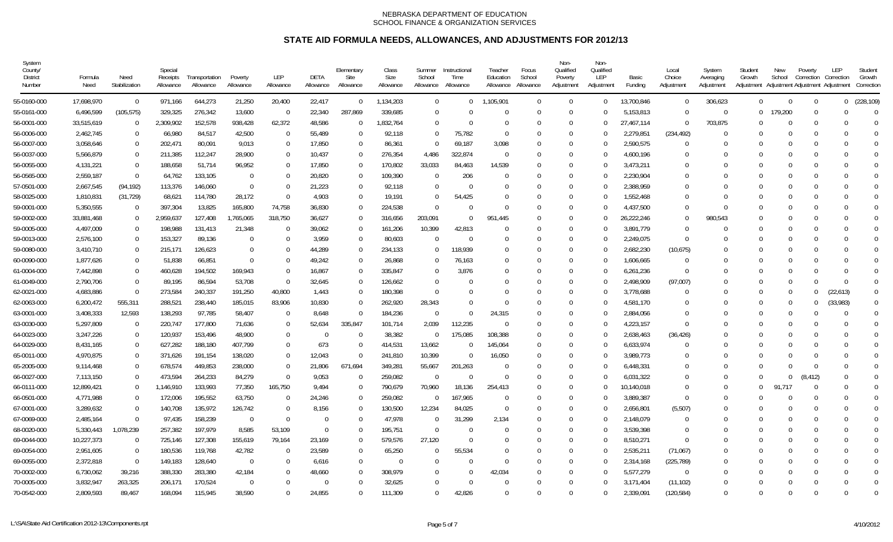| System<br>County/<br>District<br>Number | Formula<br>Need | Need<br>Stabilization | Special<br>Receipts<br>Allowance | Transportation<br>Allowance | Poverty<br>Allowance | LEP<br>Allowance | DETA<br>Allowance | Elementary<br>Site<br>Allowance | Class<br>Size<br>Allowance | Summer<br>School<br>Allowance | Instructional<br>Time<br>Allowance | Teacher<br>Education<br>Allowance | Focus<br>School<br>Allowance | Non-<br>Qualified<br>Poverty<br>Adjustment | Non-<br>Qualified<br>LEP<br>Adjustment | Basic<br>Funding | Local<br>Choice<br>Adjustment | System<br>Averaging<br>Adjustment | Student<br>Growth<br>Adjustment | New<br>School | Poverty<br>Correction | LEP<br>Correction<br>Adjustment Adjustment Adjustment | Student<br>Growth<br>Correction |
|-----------------------------------------|-----------------|-----------------------|----------------------------------|-----------------------------|----------------------|------------------|-------------------|---------------------------------|----------------------------|-------------------------------|------------------------------------|-----------------------------------|------------------------------|--------------------------------------------|----------------------------------------|------------------|-------------------------------|-----------------------------------|---------------------------------|---------------|-----------------------|-------------------------------------------------------|---------------------------------|
| 55-0160-000                             | 17,698,970      | $\overline{0}$        | 971,166                          | 644,273                     | 21,250               | 20,400           | 22,417            | $\Omega$                        | 1,134,203                  | $\Omega$                      | $\Omega$                           | 1,105,901                         | $\Omega$                     | $\Omega$                                   | $\Omega$                               | 13,700,846       | $\Omega$                      | 306,623                           | $\Omega$                        | $\Omega$      | $\cup$                | $\Omega$                                              | (228, 109)                      |
| 55-0161-000                             | 6,496,599       | (105, 575)            | 329,325                          | 276,342                     | 13,600               | $\overline{0}$   | 22,340            | 287,869                         | 339,685                    | $\Omega$                      |                                    | $\Omega$                          | $\Omega$                     | $\Omega$                                   | ſ                                      | 5,153,813        | $\bigcap$                     | $\mathbf 0$                       | $\overline{0}$                  | 179,200       | $\cup$                |                                                       | $\Omega$                        |
| 56-0001-000                             | 33,515,619      | $\overline{0}$        | 2,309,902                        | 152,578                     | 938,428              | 62,372           | 48,586            | $\Omega$                        | 1,832,764                  | $\Omega$                      | $\Omega$                           | $\Omega$                          | $\Omega$                     | $\Omega$                                   | $\Omega$                               | 27,467,114       | $\Omega$                      | 703,875                           | $\Omega$                        | $\Omega$      | $\Omega$              |                                                       | $\Omega$                        |
| 56-0006-000                             | 2,462,745       | $\Omega$              | 66,980                           | 84,517                      | 42,500               | $\overline{0}$   | 55,489            | $\Omega$                        | 92,118                     | $\Omega$                      | 75,782                             | $\Omega$                          | $\Omega$                     | $\Omega$                                   | -0                                     | 2,279,851        | (234, 492)                    | $\Omega$                          | $\Omega$                        | $\Omega$      | $\Omega$              |                                                       | $\theta$                        |
| 56-0007-000                             | 3,058,646       | $\Omega$              | 202,471                          | 80,091                      | 9,013                | $\Omega$         | 17,850            | $\Omega$                        | 86,361                     | $\Omega$                      | 69,187                             | 3,098                             |                              | $\Omega$                                   | $\Omega$                               | 2,590,575        | - 0                           | $\Omega$                          | $\Omega$                        |               | -0                    |                                                       | $\theta$                        |
| 56-0037-000                             | 5,566,879       | $\Omega$              | 211,385                          | 112,247                     | 28,900               | $\Omega$         | 10,437            | $\Omega$                        | 276,354                    | 4,486                         | 322,874                            | $\Omega$                          | $\Omega$                     | $\Omega$                                   | $\Omega$                               | 4,600,196        | $\bigcap$                     | $\Omega$                          | $\Omega$                        |               | $\Omega$              |                                                       | $\Omega$                        |
| 56-0055-000                             | 4,131,221       | $\mathbf{0}$          | 188,658                          | 51,714                      | 96,952               | $\Omega$         | 17,850            | $\Omega$                        | 170,802                    | 33,033                        | 84,463                             | 14,539                            |                              | $\Omega$                                   | $\Omega$                               | 3,473,211        | $\bigcap$                     | $\Omega$                          | $\Omega$                        | - 0           | $\Omega$              |                                                       | $\Omega$                        |
| 56-0565-000                             | 2,559,187       | $\Omega$              | 64,762                           | 133,105                     | $\Omega$             | $\Omega$         | 20,820            | $\Omega$                        | 109,390                    | $\Omega$                      | 206                                | $\Omega$                          |                              | $\cup$                                     | $\Omega$                               | 2,230,904        | $\bigcap$                     | $\Omega$                          |                                 |               | $\Omega$              |                                                       | $\Omega$                        |
| 57-0501-000                             | 2,667,545       | (94, 192)             | 113,376                          | 146,060                     | $\overline{0}$       | $\Omega$         | 21,223            | $\Omega$                        | 92,118                     | $\Omega$                      | $\Omega$                           | $\Omega$                          | $\Omega$                     | $\cup$                                     | $\Omega$                               | 2,388,959        | 0                             | $\Omega$                          | $\Omega$                        |               | $\cup$                |                                                       | $\Omega$                        |
| 58-0025-000                             | 1,810,831       | (31, 729)             | 68,621                           | 114,780                     | 28,172               | $\Omega$         | 4,903             | $\left($                        | 19,191                     | $\Omega$                      | 54,425                             | $\Omega$                          |                              | $\Omega$                                   | $\left($                               | 1,552,468        | -0                            | $\Omega$                          | $\Omega$                        |               | -0                    |                                                       | $\Omega$                        |
| 59-0001-000                             | 5,350,555       | $\Omega$              | 397,304                          | 13,825                      | 165,800              | 74,758           | 36,830            | $\Omega$                        | 224,538                    | $\Omega$                      | $\bigcap$                          | $\Omega$                          | $\Omega$                     | $\Omega$                                   | $\Omega$                               | 4,437,500        | $\bigcap$                     | $\Omega$                          | $\Omega$                        | $\Omega$      | -0                    |                                                       | $\Omega$                        |
| 59-0002-000                             | 33,881,468      | 0                     | 2,959,637                        | 127,408                     | 1,765,065            | 318,750          | 36,627            | $\Omega$                        | 316,656                    | 203,091                       | $\Omega$                           | 951,445                           |                              | $\Omega$                                   | $\Omega$                               | 26,222,246       | $\bigcap$                     | 980,543                           | $\Omega$                        | - 0           | -0                    |                                                       | $\Omega$                        |
| 59-0005-000                             | 4,497,009       | $\Omega$              | 198,988                          | 131,413                     | 21,348               | $\Omega$         | 39,062            | $\Omega$                        | 161,206                    | 10,399                        | 42,813                             | $\Omega$                          |                              | $\cup$                                     | $\Omega$                               | 3,891,779        | $\bigcap$                     | $\Omega$                          |                                 |               | $\Omega$              |                                                       |                                 |
| 59-0013-000                             | 2,576,100       | $\mathbf{0}$          | 153,327                          | 89,136                      | $\mathbf 0$          | $\mathbf{0}$     | 3,959             | $\Omega$                        | 80,603                     | $\Omega$                      | $\overline{0}$                     | $\Omega$                          | $\Omega$                     | $\Omega$                                   | $\Omega$                               | 2,249,075        | - 0                           | $\Omega$                          | $\Omega$                        | $\cap$        | $\Omega$              |                                                       | $\Omega$                        |
| 59-0080-000                             | 3,410,710       | $\mathbf{0}$          | 215,171                          | 126,623                     | $\Omega$             | $\Omega$         | 44,289            | $\Omega$                        | 234,133                    | $\cup$                        | 118,939                            | $\cup$                            | $\Omega$                     | $\cup$                                     | $\Omega$                               | 2,682,230        | (10,675)                      | $\Omega$                          | $\Omega$                        |               | $\Omega$              |                                                       | $\Omega$                        |
| 60-0090-000                             | 1,877,626       | $\mathbf{0}$          | 51,838                           | 66,851                      | $\Omega$             | $\Omega$         | 49,242            | $\Omega$                        | 26,868                     | $\Omega$                      | 76,163                             | $\Omega$                          | $\Omega$                     | $\Omega$                                   | $\Omega$                               | 1,606,665        | -0                            | $\Omega$                          | $\Omega$                        | $\Omega$      | $\Omega$              |                                                       | $\Omega$                        |
| 61-0004-000                             | 7,442,898       | $\overline{0}$        | 460,628                          | 194,502                     | 169,943              | $\Omega$         | 16,867            | $\Omega$                        | 335,847                    | $\Omega$                      | 3,876                              | $\Omega$                          |                              | $\Omega$                                   | ſ                                      | 6,261,236        | - 0                           | $\Omega$                          |                                 |               |                       |                                                       | $\Omega$                        |
| 61-0049-000                             | 2,790,706       | $\Omega$              | 89,195                           | 86,594                      | 53,708               | $\Omega$         | 32,645            | $\Omega$                        | 126,662                    | $\Omega$                      | $\Omega$                           | $\Omega$                          |                              | -0                                         | $\Omega$                               | 2,498,909        | (97,007)                      | $\Omega$                          | $\Omega$                        | $\Omega$      |                       | $\Omega$                                              | $\Omega$                        |
| 62-0021-000                             | 4,683,886       | $\Omega$              | 273,584                          | 240,337                     | 191,250              | 40,800           | 1,443             | $\Omega$                        | 180,398                    | $\Omega$                      | $\bigcap$                          | $\Omega$                          |                              | $\Gamma$                                   | $\Omega$                               | 3,778,688        | $\bigcap$                     | $\Omega$                          | $\Omega$                        | $\Omega$      | $\cup$                | (22, 613)                                             | $\Omega$                        |
| 62-0063-000                             | 6,200,472       | 555,311               | 288,521                          | 238,440                     | 185,015              | 83,906           | 10,830            | $\Omega$                        | 262,920                    | 28,343                        | $\Omega$                           | $\Omega$                          | $\Omega$                     | $\cup$                                     | $\Omega$                               | 4,581,170        | $\bigcap$                     | $\Omega$                          | $\Omega$                        | $\Omega$      | $\Omega$              | (33,983)                                              | $\Omega$                        |
| 63-0001-000                             | 3,408,333       | 12,593                | 138,293                          | 97,785                      | 58,407               | $\Omega$         | 8,648             | $\Omega$                        | 184,236                    | $\Omega$                      | $\Omega$                           | 24,315                            | $\Omega$                     | $\Omega$                                   | $\Omega$                               | 2,884,056        | $\Omega$                      | $\Omega$                          | $\Omega$                        | $\Omega$      |                       |                                                       | $\Omega$                        |
| 63-0030-000                             | 5,297,809       | $\mathbf{0}$          | 220,747                          | 177,800                     | 71,636               | $\overline{0}$   | 52,634            | 335,847                         | 101,714                    | 2,039                         | 112,235                            | $\Omega$                          | $\Omega$                     | $\Omega$                                   | -0                                     | 4,223,157        | $\Omega$                      | $\Omega$                          | $\Omega$                        | $\Omega$      | $\Omega$              |                                                       | $\Omega$                        |
| 64-0023-000                             | 3,247,226       | $\overline{0}$        | 120,937                          | 153,496                     | 48,900               | $\Omega$         | $\Omega$          | $\Omega$                        | 38,382                     | $\Omega$                      | 175,085                            | 108,388                           | $\Omega$                     | $\Omega$                                   | $\Omega$                               | 2,638,463        | (36, 426)                     | $\Omega$                          | $\Omega$                        |               | $\Omega$              |                                                       | $\Omega$                        |
| 64-0029-000                             | 8,431,165       | 0                     | 627,282                          | 188,180                     | 407,799              | $\Omega$         | 673               | $\Omega$                        | 414,531                    | 13,662                        | - 0                                | 145,064                           | $\Omega$                     | $\Omega$                                   | $\Omega$                               | 6,633,974        | - 0                           | $\Omega$                          | $\Omega$                        |               | $\Omega$              |                                                       | $\theta$                        |
| 65-0011-000                             | 4,970,875       | $\Omega$              | 371,626                          | 191,154                     | 138,020              | $\Omega$         | 12,043            | $\Omega$                        | 241,810                    | 10,399                        | $\Omega$                           | 16,050                            |                              | $\Omega$                                   | ſ                                      | 3,989,773        | -0                            |                                   | $\Omega$                        |               | $\Omega$              |                                                       |                                 |
| 65-2005-000                             | 9,114,468       | $\Omega$              | 678,574                          | 449,853                     | 238,000              | $\overline{0}$   | 21,806            | 671,694                         | 349,281                    | 55,667                        | 201,263                            | $\Omega$                          | $\Omega$                     | $\Omega$                                   | $\Omega$                               | 6,448,331        | $\Omega$                      | $\Omega$                          | $\Omega$                        | $\cap$        | $\Omega$              | <sup>0</sup>                                          | $\Omega$                        |
| 66-0027-000                             | 7,113,150       | $\mathbf{0}$          | 473,594                          | 264,233                     | 84,279               | $\mathbf 0$      | 9,053             | $\Omega$                        | 259,082                    | $\sqrt{ }$                    | $\Omega$                           | $\bigcap$                         |                              | $\Omega$                                   | ſ                                      | 6,031,322        | $\Omega$                      | $\Omega$                          |                                 | $\Omega$      | (8, 412)              |                                                       | $\Omega$                        |
| 66-0111-000                             | 12,899,421      | $\overline{0}$        | 1,146,910                        | 133,993                     | 77,350               | 165,750          | 9,494             | $\Omega$                        | 790,679                    | 70,960                        | 18,136                             | 254,413                           | $\cap$                       | $\Omega$                                   | $\Omega$                               | 10,140,018       | $\Omega$                      | $\Omega$                          | $\Omega$                        | 91.717        | $\Omega$              |                                                       | $\Omega$                        |
| 66-0501-000                             | 4,771,988       | $\mathbf{0}$          | 172,006                          | 195,552                     | 63,750               | $\overline{0}$   | 24,246            | $\Omega$                        | 259,082                    | $\mathbf{C}$                  | 167,965                            | $\Omega$                          | $\Omega$                     | $\Omega$                                   | -0                                     | 3,889,387        | -0                            | $\Omega$                          | $\Omega$                        | -0            | $\Omega$              |                                                       | $\Omega$                        |
| 67-0001-000                             | 3,289,632       | $\Omega$              | 140,708                          | 135,972                     | 126,742              | $\Omega$         | 8,156             | $\Omega$                        | 130,500                    | 12,234                        | 84,025                             | 0                                 | $\Omega$                     | $\Omega$                                   | $\Omega$                               | 2,656,801        | (5,507)                       | $\Omega$                          |                                 |               | $\Omega$              |                                                       | $\Omega$                        |
| 67-0069-000                             | 2,485,164       | $\Omega$              | 97,435                           | 158,239                     | - 0                  | $\Omega$         | $\Omega$          | $\Omega$                        | 47,978                     | $\Omega$                      | 31,299                             | 2,134                             | $\Omega$                     | $\Omega$                                   | C                                      | 2,148,079        | - 0                           | $\Omega$                          | $\Omega$                        | $\Omega$      | $\Omega$              |                                                       |                                 |
| 68-0020-000                             | 5,330,443       | 1,078,239             | 257,382                          | 197,979                     | 8,585                | 53,109           | $\Omega$          | $\Omega$                        | 195,751                    | $\sqrt{ }$                    | - 0                                | $\Omega$                          |                              | $\Omega$                                   | $\Omega$                               | 3,539,398        | - 0                           | $\Omega$                          |                                 |               | $\Omega$              |                                                       | $\Omega$                        |
| 69-0044-000                             | 10,227,373      | $\Omega$              | 725,146                          | 127,308                     | 155,619              | 79,164           | 23,169            | $\Omega$                        | 579,576                    | 27,120                        | $\Omega$                           | $\Omega$                          | $\Omega$                     | $\Omega$                                   | $\Omega$                               | 8,510,271        | $\Omega$                      | $\Omega$                          | $\Omega$                        |               | $\Omega$              |                                                       | $\Omega$                        |
| 69-0054-000                             | 2,951,605       | $\Omega$              | 180,536                          | 119,768                     | 42,782               | $\Omega$         | 23,589            | $\Omega$                        | 65,250                     | $\Omega$                      | 55,534                             | $\Omega$                          |                              | $\cup$                                     | $\Omega$                               | 2,535,211        | (71,067)                      | $\Omega$                          | $\Omega$                        |               | 0                     |                                                       | $\Omega$                        |
| 69-0055-000                             | 2,372,818       | $\Omega$              | 149,183                          | 128,640                     | - 0                  | $\Omega$         | 6,616             | $\Omega$                        | $\Omega$                   | $\Omega$                      | $\bigcap$                          | $\Omega$                          | $\Omega$                     | $\Omega$                                   | -0                                     | 2,314,168        | (225, 789)                    | $\Omega$                          | $\Omega$                        |               | $\Omega$              |                                                       | $\theta$                        |
| 70-0002-000                             | 6,730,062       | 39,216                | 388,330                          | 283,380                     | 42,184               | $\Omega$         | 48,660            | $\Omega$                        | 308,979                    | $\Omega$                      | $\Omega$                           | 42,034                            |                              | $\Omega$                                   | -0                                     | 5,577,279        | - 0                           | $\Omega$                          | $\Omega$                        |               | $\Omega$              |                                                       | $\Omega$                        |
| 70-0005-000                             | 3,832,947       | 263,325               | 206,171                          | 170,524                     | $\Omega$             | $\Omega$         |                   | $\Omega$                        | 32,625                     | $\Omega$                      | $\Omega$                           | $\Omega$                          |                              | $\Omega$                                   | $\Omega$                               | 3,171,404        | (11, 102)                     |                                   |                                 |               | $\Omega$              |                                                       | $\theta$                        |
| 70-0542-000                             | 2,809,593       | 89.467                | 168,094                          | 115.945                     | 38.590               | $\Omega$         | 24.855            | $\Omega$                        | 111.309                    | $\Omega$                      | 42.826                             | $\Omega$                          | $\Omega$                     | $\Omega$                                   | $\Omega$                               | 2.339.091        | (120, 584)                    | $\Omega$                          | $\Omega$                        | $\Omega$      | $\Omega$              | U                                                     | $\Omega$                        |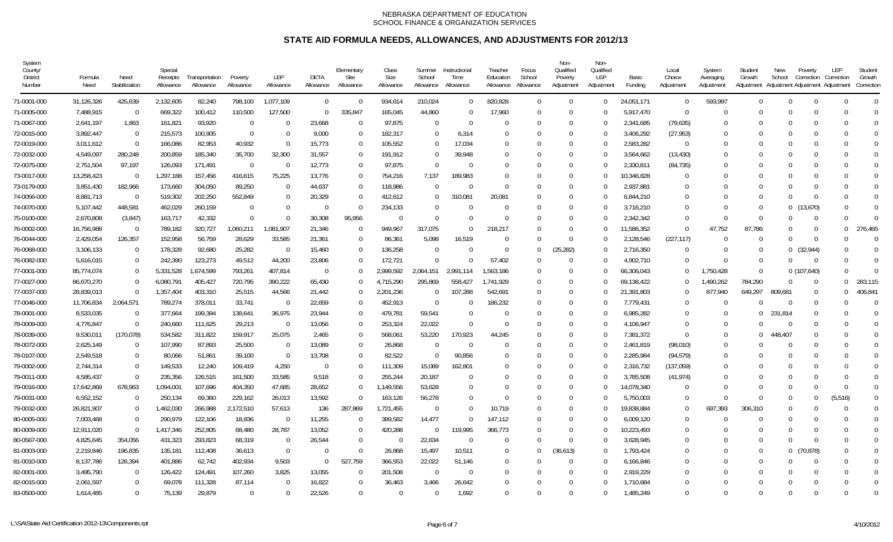| System<br>County/<br>District<br>Number | Formula<br>Need | Need<br>Stabilization | Special<br>Receipts<br>Allowance | Transportation<br>Allowance | Poverty<br>Allowance | LEP<br>Allowance | DETA<br>Allowance | Elementary<br>Site<br>Allowance | Class<br>Size<br>Allowance | Summer<br>School<br>Allowance | Instructional<br>Time<br>Allowance | Teacher<br>Education<br>Allowance | Focus<br>School<br>Allowance | Non-<br>Qualified<br>Poverty<br>Adjustment | Non-<br>Qualified<br>LEP<br>Adjustment | Basic<br>Funding | Local<br>Choice<br>Adjustment | System<br>Averaging<br>Adjustment | Student<br>Growth<br>Adjustment | New<br>School | Poverty<br>Correction<br>Adjustment Adjustment Adjustment | LEP<br>Correction | Student<br>Growth<br>Correction |
|-----------------------------------------|-----------------|-----------------------|----------------------------------|-----------------------------|----------------------|------------------|-------------------|---------------------------------|----------------------------|-------------------------------|------------------------------------|-----------------------------------|------------------------------|--------------------------------------------|----------------------------------------|------------------|-------------------------------|-----------------------------------|---------------------------------|---------------|-----------------------------------------------------------|-------------------|---------------------------------|
| 71-0001-000                             | 31,126,326      | 425,639               | 2,132,605                        | 82,240                      | 798,100              | 1,077,109        | $\Omega$          | $\Omega$                        | 934,614                    | 210,024                       | $\Omega$                           | 820,828                           | $\Omega$                     | $\Omega$                                   | $\Omega$                               | 24,051,171       | $\Omega$                      | 593,997                           | $\Omega$                        | $\Omega$      | $\cup$                                                    | $\Omega$          | $\Omega$                        |
| 71-0005-000                             | 7,488,915       | $\Omega$              | 669,322                          | 100,412                     | 110,500              | 127,500          | $\Omega$          | 335,847                         | 165,045                    | 44,860                        | $\Omega$                           | 17,960                            | $\Omega$                     | $\cup$                                     | $\Omega$                               | 5,917,470        | - 0                           | $\Omega$                          | $\Omega$                        |               | $\cup$                                                    |                   |                                 |
| 71-0067-000                             | 2,641,197       | 1,863                 | 161,821                          | 93,920                      | $\Omega$             | $\Omega$         | 23,668            | $\Omega$                        | 97,875                     | $\Omega$                      | - 0                                | $\cup$                            | $\Omega$                     | $\Omega$                                   | $\Omega$                               | 2,341,685        | (79, 635)                     | $\Omega$                          | $\Omega$                        | $\Omega$      | $\cup$                                                    |                   | $\Omega$                        |
| 72-0015-000                             | 3,892,447       | $\overline{0}$        | 215,573                          | 100,905                     | $\overline{0}$       | $\Omega$         | 9,000             | $\Omega$                        | 182,317                    | $\Omega$                      | 6,314                              | $\Omega$                          | $\Omega$                     | $\Omega$                                   | $\Omega$                               | 3,406,292        | (27, 953)                     | $\Omega$                          | $\Omega$                        |               | $\Omega$                                                  |                   | $\Omega$                        |
| 72-0019-000                             | 3,011,612       | $\Omega$              | 166,086                          | 82,953                      | 40,932               | $\Omega$         | 15,773            | $\Omega$                        | 105,552                    | $\Omega$                      | 17,034                             | $\Omega$                          |                              | $\Omega$                                   | $\Omega$                               | 2,583,282        | $\overline{0}$                | $\Omega$                          | $\Omega$                        |               | 0                                                         |                   | $\Omega$                        |
| 72-0032-000                             | 4,549,097       | 280,248               | 200,859                          | 185,340                     | 35,700               | 32,300           | 31,557            | $\left($                        | 191,912                    | $\Omega$                      | 39,948                             | $\left($                          |                              | $\Omega$                                   | ſ                                      | 3,564,662        | (13, 430)                     | $\Omega$                          | $\Omega$                        |               | $\Omega$                                                  |                   | $\Omega$                        |
| 72-0075-000                             | 2,751,504       | 97,197                | 126,093                          | 171,491                     | - 0                  | $\overline{0}$   | 12,773            | $\Omega$                        | 97,875                     | $\sqrt{ }$                    | $\Omega$                           | $\Omega$                          |                              | $\Omega$                                   | ſ                                      | 2,330,811        | (84, 735)                     | $\Omega$                          | $\Omega$                        | -0            | -0                                                        |                   | $\Omega$                        |
| 73-0017-000                             | 13,258,423      | $\Omega$              | 1,297,188                        | 157,456                     | 416,615              | 75,225           | 13,776            | $\Omega$                        | 754,216                    | 7,137                         | 189,983                            | $\Omega$                          |                              | $\Omega$                                   | $\left($                               | 10,346,828       | 0                             |                                   |                                 |               | -0                                                        |                   |                                 |
| 73-0179-000                             | 3,851,430       | 182,966               | 173,660                          | 304,050                     | 89,250               | $\overline{0}$   | 44,637            | $\Omega$                        | 118,986                    | $\Omega$                      | $\bigcap$                          | $\Omega$                          | $\Omega$                     | $\Omega$                                   | $\Omega$                               | 2,937,881        | 0                             | $\Omega$                          | $\Omega$                        |               | $\Omega$                                                  |                   | $\Omega$                        |
| 74-0056-000                             | 8,881,713       | $\overline{0}$        | 519,302                          | 202,250                     | 552,849              | $\Omega$         | 20,329            | $\Omega$                        | 412,612                    | $\Omega$                      | 310,081                            | 20,081                            |                              | $\Omega$                                   | ſ                                      | 6.844.210        | -0                            | $\Omega$                          | $\Omega$                        |               | $\Omega$                                                  |                   | $\Omega$                        |
| 74-0070-000                             | 5,107,442       | 448,581               | 462,029                          | 260,159                     | $\Omega$             | $\Omega$         | $\Omega$          | ſ                               | 234,133                    | $\Omega$                      | $\cup$                             | $\Omega$                          |                              | $\cap$                                     | $\Omega$                               | 3,716,210        | $\bigcap$                     | $\Omega$                          | $\Omega$                        | $\Omega$      | (13,670)                                                  |                   | $\Omega$                        |
| 75-0100-000                             | 2,670,808       | (3,847)               | 163,717                          | 42,332                      | $\Omega$             | $\Omega$         | 30,308            | 95,956                          | $\Omega$                   | $\Omega$                      | $\cap$                             | $\cap$                            | $\Omega$                     | $\cup$                                     | ſ                                      | 2,342,342        | $\cap$                        | $\Omega$                          | $\Omega$                        |               | $\Omega$                                                  | <sup>0</sup>      |                                 |
| 76-0002-000                             | 16,756,988      | $\mathbf{0}$          | 789,182                          | 320,727                     | 1,060,211            | ,081,907         | 21,346            | $\Omega$                        | 949,967                    | 317,075                       | $\Omega$                           | 218,217                           |                              | $\Omega$                                   | $\Omega$                               | 11,586,352       | $\Omega$                      | 47,752                            | 87,786                          |               | $\Omega$                                                  | $\Omega$          | 276,465                         |
| 76-0044-000                             | 2,429,054       | 126,357               | 152,958                          | 56,759                      | 28,629               | 33,585           | 21,361            | $\Omega$                        | 86,361                     | 5,098                         | 16,519                             | $\Omega$                          | $\Omega$                     | $\Omega$                                   | $\Omega$                               | 2,128,546        | (227, 117)                    | $\Omega$                          | $\Omega$                        | $\Omega$      | $\Omega$                                                  |                   | $\Omega$                        |
| 76-0068-000                             | 3,106,133       | $\Omega$              | 178,328                          | 92,680                      | 25,282               | $\Omega$         | 15,460            | $\left($                        | 136,258                    | $\Omega$                      | $\Omega$                           | $\Omega$                          | $\Omega$                     | (25, 282)                                  | $\Omega$                               | 2,716,350        | $\Omega$                      | $\Omega$                          | $\Omega$                        | $\Omega$      | (32, 944)                                                 |                   | $\Omega$                        |
| 76-0082-000                             | 5,616,015       | $\Omega$              | 242,390                          | 123,273                     | 49,512               | 44,200           | 23,806            | $\Omega$                        | 172,721                    | $\Omega$                      | $\Omega$                           | 57,402                            | $\Omega$                     | $\Omega$                                   | $\Omega$                               | 4,902,710        | $\bigcap$                     | $\Omega$                          | $\Omega$                        |               | - 0                                                       |                   | $\Omega$                        |
| 77-0001-000                             | 85,774,074      | $\Omega$              | 5,331,528                        | 1,674,599                   | 793,261              | 407,814          | $\Omega$          |                                 | 2,999,592                  | 2,064,151                     | 2,991,114                          | 1,563,186                         |                              | $\Omega$                                   | ſ                                      | 66,306,043       | $\Box$                        | ,750,428                          | $\Omega$                        |               | 0(107,640)                                                |                   | $\Omega$                        |
| 77-0027-000                             | 86,670,270      | $\Omega$              | 6,080,791                        | 405,427                     | 720,795              | 390,222          | 65,430            | $\Omega$                        | 4,715,290                  | 295,869                       | 558,427                            | 1,741,929                         | $\Omega$                     | $\Omega$                                   | $\Omega$                               | 69,138,422       | -0                            | 1,490,262                         | 784,290                         | $\Omega$      | $\Omega$                                                  | $\Omega$          | 283,115                         |
| 77-0037-000                             | 28,839,013      | $\Omega$              | 1,357,404                        | 403,310                     | 25,515               | 44,566           | 21,442            | $\Omega$                        | 2,201,236                  | $\Omega$                      | 107,288                            | 542,691                           | $\Omega$                     | $\cup$                                     | $\Omega$                               | 21,391,803       | $\bigcap$                     | 877.940                           | 649.297                         | 809.681       | $\Omega$                                                  | $\Omega$          | 406,841                         |
| 77-0046-000                             | 11,706,834      | 2,064,571             | 789,274                          | 378,011                     | 33,741               | $\Omega$         | 22,659            | $\Omega$                        | 452,913                    | $\Omega$                      | $\Omega$                           | 186,232                           | $\Omega$                     | $\Omega$                                   | $\Omega$                               | 7,779,431        | $\Omega$                      | $\Omega$                          |                                 | $\Omega$      | $\Omega$                                                  |                   | $\Omega$                        |
| 78-0001-000                             | 8,533,035       | $\Omega$              | 377,664                          | 199,394                     | 138,641              | 36,975           | 23,944            |                                 | 479,781                    | 59,541                        | $\bigcap$                          | $\Omega$                          | $\Omega$                     | $\cap$                                     | $\Omega$                               | 6,985,282        | $\bigcap$                     | $\Omega$                          | $\Omega$                        | 231,814       |                                                           |                   | $\Omega$                        |
| 78-0009-000                             | 4,776,847       | $\Omega$              | 240,660                          | 111,625                     | 29,213               | $\overline{0}$   | 13,056            | $\Omega$                        | 253,324                    | 22,022                        | $\Omega$                           | $\Omega$                          | $\Omega$                     | $\cup$                                     | $\Omega$                               | 4,106,947        | $\Omega$                      | $\Omega$                          |                                 | $\Omega$      | $\Omega$                                                  |                   | $\Omega$                        |
| 78-0039-000                             | 9,530,011       | (170, 078)            | 534,582                          | 311,822                     | 159,917              | 25,075           | 2,465             | $\Omega$                        | 568,061                    | 53,220                        | 170,923                            | 44,245                            |                              | $\Omega$                                   | $\Omega$                               | 7,381,372        | $\Omega$                      | $\Omega$                          |                                 | 448,407       |                                                           |                   | $\Omega$                        |
| 78-0072-000                             | 2,625,149       | $\mathbf{0}$          | 107,990                          | 87,893                      | 25,500               | $\mathbf 0$      | 13,089            | $\Omega$                        | 26,868                     | $\Omega$                      | $\overline{0}$                     | $\Omega$                          | $\Omega$                     | $\Omega$                                   | $\Omega$                               | 2,461,819        | (98,010)                      | $\Omega$                          | $\Omega$                        | $\Omega$      | $\Omega$                                                  |                   | $\Omega$                        |
| 78-0107-000                             | 2,549,518       | $\Omega$              | 80,066                           | 51,861                      | 39,100               | $\Omega$         | 13,708            | $\Omega$                        | 82,522                     | <sup>-</sup>                  | 90,856                             | $\Omega$                          |                              | $\Omega$                                   | ſ                                      | 2,285,984        | (94, 579)                     | $\Omega$                          |                                 |               | $\Omega$                                                  |                   | $\Omega$                        |
| 79-0002-000                             | 2,744,314       | $\Omega$              | 149,533                          | 12,240                      | 109,419              | 4,250            | $\Omega$          | $\Omega$                        | 111,309                    | 15,089                        | 162,801                            | $\Omega$                          | $\Omega$                     | $\Omega$                                   | $\Omega$                               | 2,316,732        | (137,059)                     | $\Omega$                          | $\Omega$                        | $\Omega$      | $\Omega$                                                  |                   | $\Omega$                        |
| 79-0011-000                             | 4,585,437       | $\Omega$              | 235,356                          | 126,515                     | 161,500              | 33,585           | 9,518             |                                 | 255,244                    | 20,187                        | $\Omega$                           | $\Omega$                          |                              | -0                                         | ſ                                      | 3,785,508        | (41, 974)                     | $\Omega$                          |                                 |               |                                                           |                   | $\Omega$                        |
| 79-0016-000                             | 17,642,869      | 678,963               | 094,001, 1                       | 107,696                     | 404,350              | 47,685           | 28,652            | $\Omega$                        | 1,149,556                  | 53,628                        | $\Omega$                           | $\Omega$                          |                              | $\cup$                                     | $\Omega$                               | 14,078,340       | $\Omega$                      | $\Omega$                          | $\Omega$                        |               | $\Omega$                                                  |                   | $\Omega$                        |
| 79-0031-000                             | 6,552,152       | $\Omega$              | 250,134                          | 69,360                      | 229,162              | 26,013           | 13,592            | $\Omega$                        | 163,126                    | 56,278                        | $\Omega$                           | $\Omega$                          | $\Omega$                     | $\Omega$                                   | $\Omega$                               | 5,750,003        | $\Omega$                      | $\Omega$                          | $\Omega$                        | $\Omega$      | $\Omega$                                                  | (5, 516)          | $\Omega$                        |
| 79-0032-000                             | 26,821,907      | $\mathbf{0}$          | 1,462,030                        | 266,988                     | 2,172,510            | 57,613           | 136               | 287,869                         | 1,721,455                  | $\Omega$                      | $\Omega$                           | 10,719                            | $\Omega$                     | $\Omega$                                   | $\Omega$                               | 19,838,884       | $\Omega$                      | 697,393                           | 306,310                         | $\Omega$      | $\Omega$                                                  | $\Omega$          | $\Omega$                        |
| 80-0005-000                             | 7,003,468       | $\Omega$              | 290,979                          | 122,106                     | 18,836               | $\overline{0}$   | 11,255            | $\Omega$                        | 389,582                    | 14,477                        | $\Omega$                           | 147,112                           | $\Omega$                     | $\cup$                                     | C                                      | 6,009,120        | $\bigcap$                     | $\Omega$                          |                                 | $\cap$        | $\Omega$                                                  |                   |                                 |
| 80-0009-000                             | 12,911,020      | $\Omega$              | 1,417,346                        | 252,805                     | 68,480               | 28,787           | 13,052            | $\Omega$                        | 420,288                    | $\Omega$                      | 119,995                            | 366,773                           | $\Omega$                     | $\Omega$                                   | -0                                     | 10,223,493       | $\Omega$                      | $\Omega$                          | $\Omega$                        | $\Omega$      | $\Omega$                                                  |                   | $\Omega$                        |
| 80-0567-000                             | 4,825,645       | 354,056               | 431,323                          | 293,823                     | 68,319               | $\overline{0}$   | 26,544            | $\Omega$                        | $\overline{0}$             | 22,634                        | $\overline{0}$                     | $\Omega$                          |                              | $\Omega$                                   | $\left($                               | 3,628,945        | -0                            |                                   | $\Omega$                        |               | $\Omega$                                                  |                   |                                 |
| 81-0003-000                             | 2,219,846       | 196,835               | 135,181                          | 112,408                     | 36,613               | $\overline{0}$   | - 0               | $\Omega$                        | 26,868                     | 15,497                        | 10,511                             | $\Omega$                          | $\Omega$                     | (36, 613)                                  | $\Omega$                               | 1,793,424        | -0                            | $\Omega$                          | $\Omega$                        | $\Omega$      | (70, 878)                                                 |                   | $\Omega$                        |
| 81-0010-000                             | 8,137,786       | 126,394               | 401,886                          | 62,742                      | 402,934              | 9,503            |                   | 527,759                         | 366,553                    | 22,022                        | 51,146                             | $\Omega$                          | $\Omega$                     | $\Omega$                                   | -0                                     | 6,166,846        | -0                            | $\Omega$                          | $\Omega$                        |               | $\Omega$                                                  |                   | $\Omega$                        |
| 82-0001-000                             | 3,495,790       | $\Omega$              | 126,422                          | 124,491                     | 107,260              | 3,825            | 13,055            | $\Omega$                        | 201,508                    | $\sqrt{ }$                    | $\bigcap$                          | $\Omega$                          |                              | $\Omega$                                   | ſ                                      | 2,919,229        | O                             | $\Omega$                          | $\Omega$                        |               | $\Omega$                                                  |                   | $\Omega$                        |
| 82-0015-000                             | 2,061,597       | $\Omega$              | 69,078                           | 111,328                     | 87,114               | $\Omega$         | 16,822            | $\Omega$                        | 36,463                     | 3,466                         | 26,642                             | $\Omega$                          |                              | $\Omega$                                   |                                        | 1,710,684        | O                             |                                   |                                 |               | $\Omega$                                                  |                   | $\Omega$                        |
| 83-0500-000                             | 1,614,485       | $\Omega$              | 75,139                           | 29,879                      | $\Omega$             | $\Omega$         | 22,526            | $\Omega$                        | $\Omega$                   | $\Omega$                      | 1.692                              | $\Omega$                          | $\Omega$                     | $\Omega$                                   | $\Omega$                               | 1,485,249        | $\Omega$                      | $\Omega$                          | $\Omega$                        | $\Omega$      | $\Omega$                                                  |                   | $\Omega$                        |